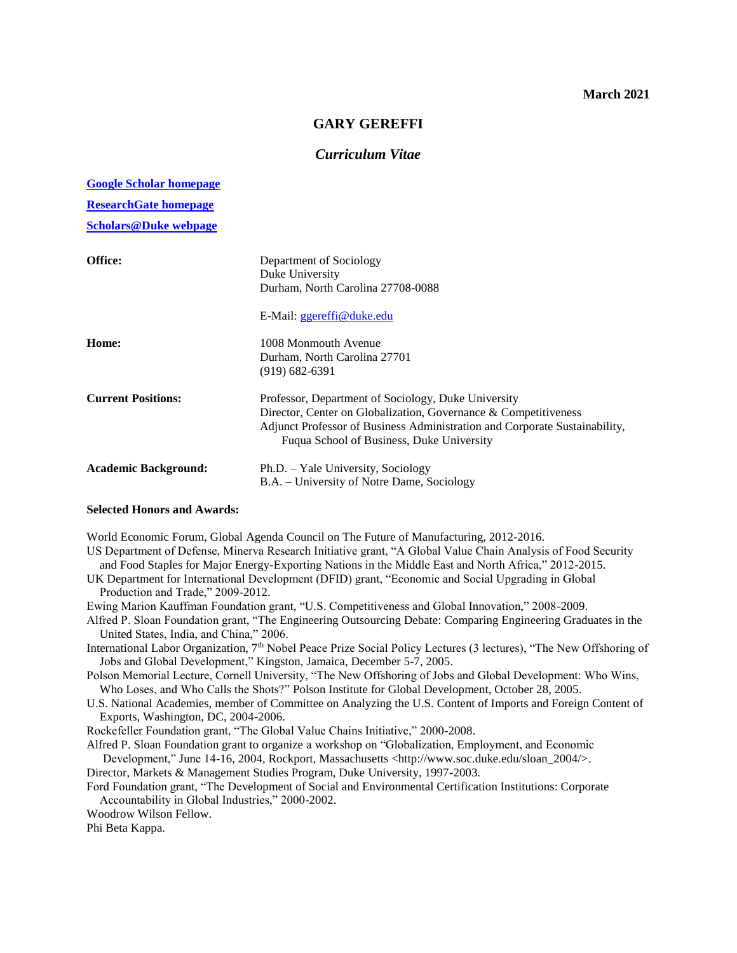## **March 2021**

## **GARY GEREFFI**

# *Curriculum Vitae*

#### **[Google Scholar homepage](http://scholar.google.com/citations?hl=en&user=2Kd61F0AAAAJ&view_op=list_works)**

**[ResearchGate homepage](https://www.researchgate.net/profile/Gary_Gereffi/research)**

**[Scholars@Duke webpage](https://scholars.duke.edu/display/per2170252)**

| Office:                     | Department of Sociology<br>Duke University<br>Durham, North Carolina 27708-0088                                                                                                                                                                   |
|-----------------------------|---------------------------------------------------------------------------------------------------------------------------------------------------------------------------------------------------------------------------------------------------|
|                             | E-Mail: ggereffi@duke.edu                                                                                                                                                                                                                         |
| Home:                       | 1008 Monmouth Avenue<br>Durham, North Carolina 27701<br>$(919)$ 682-6391                                                                                                                                                                          |
| <b>Current Positions:</b>   | Professor, Department of Sociology, Duke University<br>Director, Center on Globalization, Governance & Competitiveness<br>Adjunct Professor of Business Administration and Corporate Sustainability,<br>Fuqua School of Business, Duke University |
| <b>Academic Background:</b> | Ph.D. – Yale University, Sociology<br>B.A. – University of Notre Dame, Sociology                                                                                                                                                                  |

## **Selected Honors and Awards:**

World Economic Forum, Global Agenda Council on The Future of Manufacturing, 2012-2016.

US Department of Defense, Minerva Research Initiative grant, "A Global Value Chain Analysis of Food Security and Food Staples for Major Energy-Exporting Nations in the Middle East and North Africa," 2012-2015.

UK Department for International Development (DFID) grant, "Economic and Social Upgrading in Global Production and Trade," 2009-2012.

Ewing Marion Kauffman Foundation grant, "U.S. Competitiveness and Global Innovation," 2008-2009.

- Alfred P. Sloan Foundation grant, "The Engineering Outsourcing Debate: Comparing Engineering Graduates in the United States, India, and China," 2006.
- International Labor Organization, 7<sup>th</sup> Nobel Peace Prize Social Policy Lectures (3 lectures), "The New Offshoring of Jobs and Global Development," Kingston, Jamaica, December 5-7, 2005.
- Polson Memorial Lecture, Cornell University, "The New Offshoring of Jobs and Global Development: Who Wins, Who Loses, and Who Calls the Shots?" Polson Institute for Global Development, October 28, 2005.
- U.S. National Academies, member of Committee on Analyzing the U.S. Content of Imports and Foreign Content of Exports, Washington, DC, 2004-2006.
- Rockefeller Foundation grant, "The Global Value Chains Initiative," 2000-2008.
- Alfred P. Sloan Foundation grant to organize a workshop on "Globalization, Employment, and Economic

Development," June 14-16, 2004, Rockport, Massachusetts <http://www.soc.duke.edu/sloan\_2004/>.

- Director, Markets & Management Studies Program, Duke University, 1997-2003.
- Ford Foundation grant, "The Development of Social and Environmental Certification Institutions: Corporate Accountability in Global Industries," 2000-2002.

Woodrow Wilson Fellow.

Phi Beta Kappa.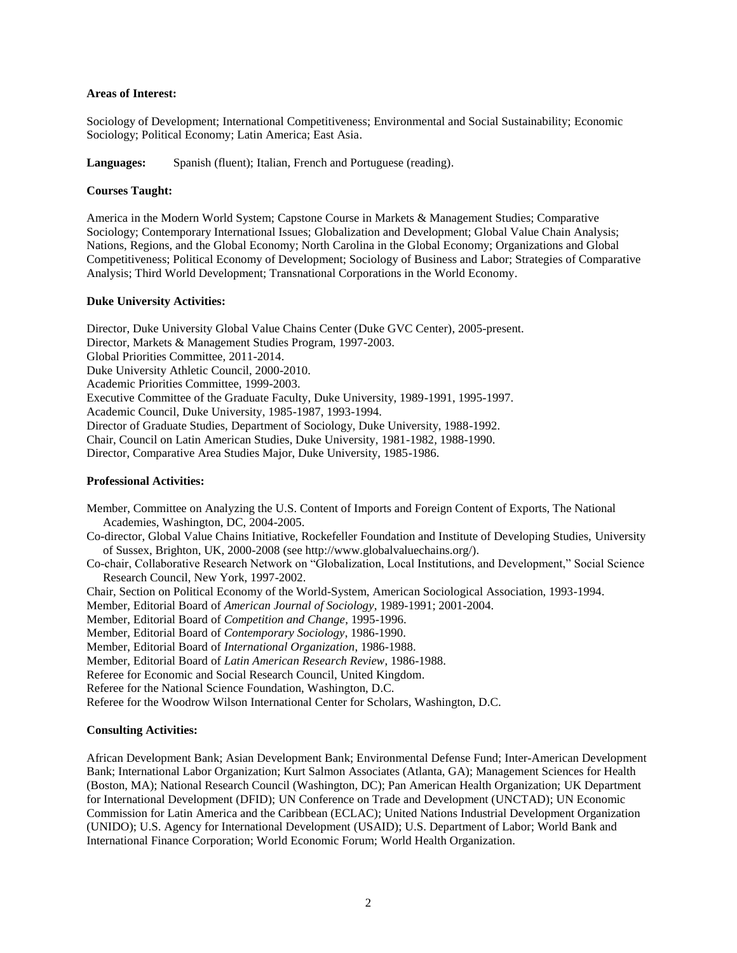## **Areas of Interest:**

Sociology of Development; International Competitiveness; Environmental and Social Sustainability; Economic Sociology; Political Economy; Latin America; East Asia.

**Languages:** Spanish (fluent); Italian, French and Portuguese (reading).

## **Courses Taught:**

America in the Modern World System; Capstone Course in Markets & Management Studies; Comparative Sociology; Contemporary International Issues; Globalization and Development; Global Value Chain Analysis; Nations, Regions, and the Global Economy; North Carolina in the Global Economy; Organizations and Global Competitiveness; Political Economy of Development; Sociology of Business and Labor; Strategies of Comparative Analysis; Third World Development; Transnational Corporations in the World Economy.

### **Duke University Activities:**

Director, Duke University Global Value Chains Center (Duke GVC Center), 2005-present. Director, Markets & Management Studies Program, 1997-2003. Global Priorities Committee, 2011-2014. Duke University Athletic Council, 2000-2010. Academic Priorities Committee, 1999-2003. Executive Committee of the Graduate Faculty, Duke University, 1989-1991, 1995-1997. Academic Council, Duke University, 1985-1987, 1993-1994. Director of Graduate Studies, Department of Sociology, Duke University, 1988-1992. Chair, Council on Latin American Studies, Duke University, 1981-1982, 1988-1990. Director, Comparative Area Studies Major, Duke University, 1985-1986.

### **Professional Activities:**

Member, Committee on Analyzing the U.S. Content of Imports and Foreign Content of Exports, The National Academies, Washington, DC, 2004-2005.

Co-director, Global Value Chains Initiative, Rockefeller Foundation and Institute of Developing Studies, University of Sussex, Brighton, UK, 2000-2008 (see http://www.globalvaluechains.org/).

Co-chair, Collaborative Research Network on "Globalization, Local Institutions, and Development," Social Science Research Council, New York, 1997-2002.

Chair, Section on Political Economy of the World-System, American Sociological Association, 1993-1994.

Member, Editorial Board of *American Journal of Sociology*, 1989-1991; 2001-2004.

Member, Editorial Board of *Competition and Change*, 1995-1996.

Member, Editorial Board of *Contemporary Sociology*, 1986-1990.

Member, Editorial Board of *International Organization*, 1986-1988.

Member, Editorial Board of *Latin American Research Review*, 1986-1988.

Referee for Economic and Social Research Council, United Kingdom.

Referee for the National Science Foundation, Washington, D.C.

Referee for the Woodrow Wilson International Center for Scholars, Washington, D.C.

## **Consulting Activities:**

African Development Bank; Asian Development Bank; Environmental Defense Fund; Inter-American Development Bank; International Labor Organization; Kurt Salmon Associates (Atlanta, GA); Management Sciences for Health (Boston, MA); National Research Council (Washington, DC); Pan American Health Organization; UK Department for International Development (DFID); UN Conference on Trade and Development (UNCTAD); UN Economic Commission for Latin America and the Caribbean (ECLAC); United Nations Industrial Development Organization (UNIDO); U.S. Agency for International Development (USAID); U.S. Department of Labor; World Bank and International Finance Corporation; World Economic Forum; World Health Organization.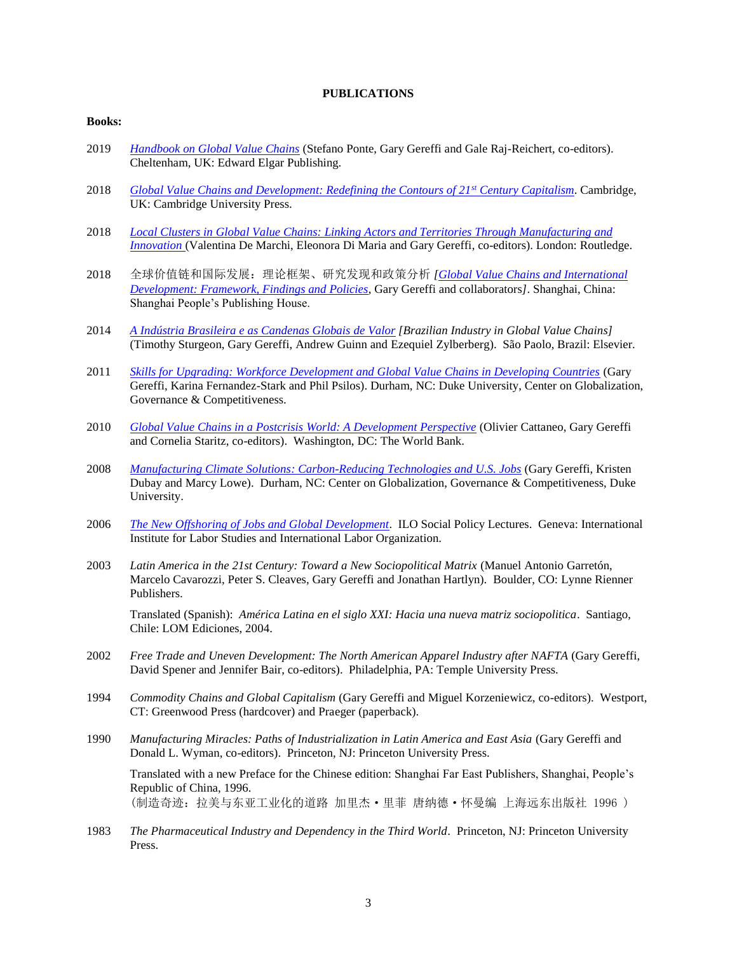## **PUBLICATIONS**

### **Books:**

- 2019 *[Handbook on Global Value Chains](https://www.elgaronline.com/view/edcoll/9781788113762/9781788113762.xml)* (Stefano Ponte, Gary Gereffi and Gale Raj-Reichert, co-editors). Cheltenham, UK: Edward Elgar Publishing.
- 2018 *[Global Value Chains and Development: Redefining the Contours of 21](https://www.amazon.com/Global-Value-Chains-Development-Trajectories/dp/1108458866/ref=sr_1_1?ie=UTF8&qid=1541057302&sr=8-1&keywords=gARY+GEREFFI)st Century Capitalism*. Cambridge, UK: Cambridge University Press.
- 2018 *Local Clusters in [Global Value Chains: Linking Actors and Territories Through Manufacturing and](https://www.routledge.com/Local-Clusters-in-Global-Value-Chains-Linking-Actors-and-Territories-Through/De-Marchi-Di-Maria-Gereffi/p/book/9781138742864)  [Innovation](https://www.routledge.com/Local-Clusters-in-Global-Value-Chains-Linking-Actors-and-Territories-Through/De-Marchi-Di-Maria-Gereffi/p/book/9781138742864)* (Valentina De Marchi, Eleonora Di Maria and Gary Gereffi, co-editors). London: Routledge.
- 2018 全球价值链和国际发展:理论框架、研究发现和政策分析 *[\[Global Value Chains and International](https://drive.google.com/file/d/1pRVbCMs7n5rvpkdUxF1He-nLwgjLy0RF/view)  [Development: Framework, Findings and Policies](https://drive.google.com/file/d/1pRVbCMs7n5rvpkdUxF1He-nLwgjLy0RF/view)*, Gary Gereffi and collaborators*]*. Shanghai, China: Shanghai People's Publishing House.
- 2014 *[A Indústria Brasileira e as Candenas Globais](http://www.elsevier.com.br/site/produtos/Detalhe-Produto.aspx?tid=95491&seg=7&cat=200&tit=A%20IND%C3%9ASTRIA%20BRASILEIRA%20E%20AS%20CADEIAS%20GLOBAIS%20DE%20VALOR&utm_source=Site_Elsevier&utm_medium=Email&utm_content=ST&utm_campaign=ST_Janeiro_As_Cadeias_Globais) de Valor [Brazilian Industry in Global Value Chains]* (Timothy Sturgeon, Gary Gereffi, Andrew Guinn and Ezequiel Zylberberg). São Paolo, Brazil: Elsevier.
- 2011 *[Skills for Upgrading: Workforce Development and Global Value Chains in Developing Countries](http://www.cggc.duke.edu/gvc/workforce-development/)* (Gary Gereffi, Karina Fernandez-Stark and Phil Psilos). Durham, NC: Duke University, Center on Globalization, Governance & Competitiveness.
- 2010 *[Global Value Chains in a Postcrisis World: A Development Perspective](http://elibrary.worldbank.org/content/book/9780821384992)* (Olivier Cattaneo, Gary Gereffi and Cornelia Staritz, co-editors). Washington, DC: The World Bank.
- 2008 *Manufacturing Climate Solutions: [Carbon-Reducing Technologies and U.S. Jobs](https://gvcc.duke.edu/wp-content/uploads/greeneconomy_Full_report.pdf)* (Gary Gereffi, Kristen Dubay and Marcy Lowe). Durham, NC: Center on Globalization, Governance & Competitiveness, Duke University.
- 2006 *[The New Offshoring of Jobs and Global Development](http://www.ilo.org/public/english/bureau/inst/download/newoff.pdf)*. ILO Social Policy Lectures. Geneva: International Institute for Labor Studies and International Labor Organization.
- 2003 *Latin America in the 21st Century: Toward a New Sociopolitical Matrix* (Manuel Antonio Garretón, Marcelo Cavarozzi, Peter S. Cleaves, Gary Gereffi and Jonathan Hartlyn). Boulder, CO: Lynne Rienner Publishers.

Translated (Spanish): *América Latina en el siglo XXI: Hacia una nueva matriz sociopolitica*. Santiago, Chile: LOM Ediciones, 2004.

- 2002 *Free Trade and Uneven Development: The North American Apparel Industry after NAFTA* (Gary Gereffi, David Spener and Jennifer Bair, co-editors). Philadelphia, PA: Temple University Press.
- 1994 *Commodity Chains and Global Capitalism* (Gary Gereffi and Miguel Korzeniewicz, co-editors). Westport, CT: Greenwood Press (hardcover) and Praeger (paperback).
- 1990 *Manufacturing Miracles: Paths of Industrialization in Latin America and East Asia* (Gary Gereffi and Donald L. Wyman, co-editors). Princeton, NJ: Princeton University Press.

Translated with a new Preface for the Chinese edition: Shanghai Far East Publishers, Shanghai, People's Republic of China, 1996. (制造奇迹:拉美与东亚工业化的道路 加里杰·里菲 唐纳德·怀曼编 上海远东出版社 1996 )

1983 *The Pharmaceutical Industry and Dependency in the Third World.* Princeton, NJ: Princeton University Press.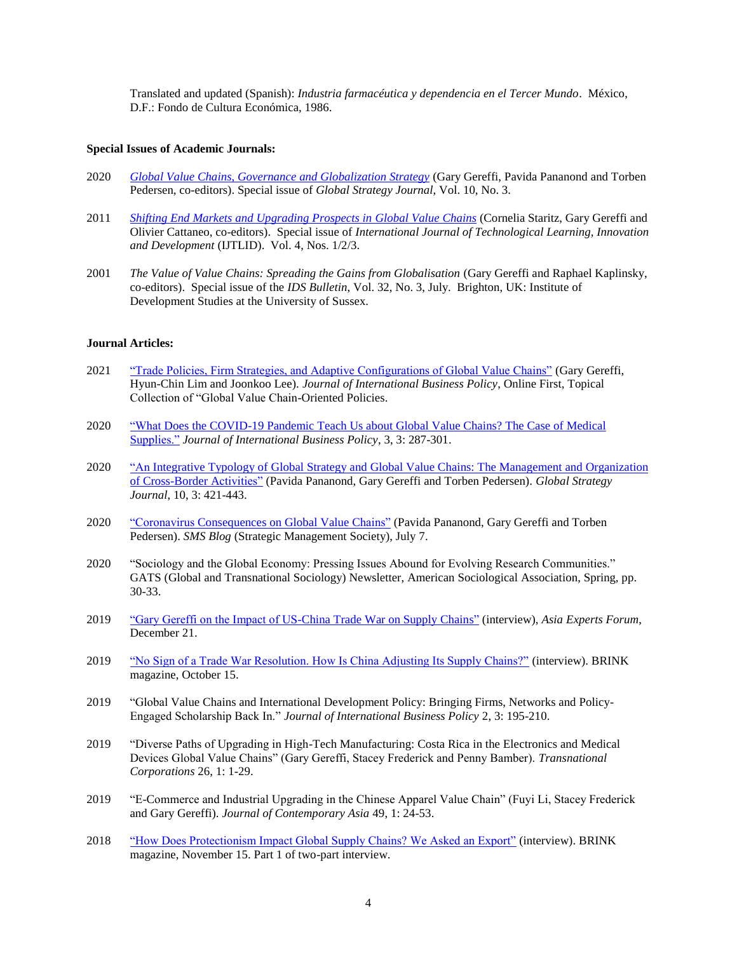Translated and updated (Spanish): *Industria farmacéutica y dependencia en el Tercer Mundo*. México, D.F.: Fondo de Cultura Económica, 1986.

### **Special Issues of Academic Journals:**

- 2020 *[Global Value Chains, Governance and Globalization Strategy](https://onlinelibrary.wiley.com/toc/20425805/current)* (Gary Gereffi, Pavida Pananond and Torben Pedersen, co-editors). Special issue of *Global Strategy Journal*, Vol. 10, No. 3.
- 2011 *[Shifting End Markets and Upgrading Prospects in Global Value Chains](http://www.inderscience.com/browse/index.php?journalID=240&year=2011&vol=4&issue=1/2/3)* (Cornelia Staritz, Gary Gereffi and Olivier Cattaneo, co-editors). Special issue of *International Journal of Technological Learning, Innovation and Development* (IJTLID). Vol. 4, Nos. 1/2/3.
- 2001 *The Value of Value Chains: Spreading the Gains from Globalisation* (Gary Gereffi and Raphael Kaplinsky, co-editors). Special issue of the *IDS Bulletin*, Vol. 32, No. 3, July. Brighton, UK: Institute of Development Studies at the University of Sussex.

#### **Journal Articles:**

- 2021 ["Trade Policies, Firm Strategies, and Adaptive Configurations of Global Value Chains"](https://doi.org/10.1057/s42214-021-00102-z) (Gary Gereffi, Hyun-Chin Lim and Joonkoo Lee). *Journal of International Business Policy*, Online First, Topical Collection of "Global Value Chain-Oriented Policies.
- 2020 "What Does the COVID-19 Pandemic Teach Us about Global Value Chains? The Case of Medical [Supplies."](https://link.springer.com/content/pdf/10.1057%2Fs42214-020-00062-w.pdf) *Journal of International Business Policy*, 3, 3: 287-301.
- 2020 ["An Integrative Typology of Global Strategy and Global Value Chains: The Management and Organization](https://onlinelibrary.wiley.com/doi/10.1002/gsj.1388)  [of Cross-Border Activities"](https://onlinelibrary.wiley.com/doi/10.1002/gsj.1388) (Pavida Pananond, Gary Gereffi and Torben Pedersen). *Global Strategy Journal*, 10, 3: 421-443.
- 2020 ["Coronavirus Consequences on Global Value Chains"](https://strategicmanagementsociety.wordpress.com/2020/07/07/coronavirus-consequences-on-global-value-chains/) (Pavida Pananond, Gary Gereffi and Torben Pedersen). *SMS Blog* (Strategic Management Society), July 7.
- 2020 "Sociology and the Global Economy: Pressing Issues Abound for Evolving Research Communities." GATS (Global and Transnational Sociology) Newsletter, American Sociological Association, Spring, pp. 30-33.
- 2019 ["Gary Gereffi on the Impact of US-China Trade War on Supply Chains"](http://asiaexpertsforum.org/gary-gereffi-impact-u-s-china-trade-war-supply-chain/) (interview), *Asia Experts Forum*, December 21.
- 2019 ["No Sign of a Trade War Resolution. How Is China Adjusting Its Supply Chains?"](http://www.brinknews.com/a-trade-war-resolution-isnt-forthcoming-what-does-that-mean-for-supply-chains/) (interview). BRINK magazine, October 15.
- 2019 "Global Value Chains and International Development Policy: Bringing Firms, Networks and Policy-Engaged Scholarship Back In." *Journal of International Business Policy* 2, 3: 195-210.
- 2019 "Diverse Paths of Upgrading in High-Tech Manufacturing: Costa Rica in the Electronics and Medical Devices Global Value Chains" (Gary Gereffi, Stacey Frederick and Penny Bamber). *Transnational Corporations* 26, 1: 1-29.
- 2019 "E-Commerce and Industrial Upgrading in the Chinese Apparel Value Chain" (Fuyi Li, Stacey Frederick and Gary Gereffi). *Journal of Contemporary Asia* 49, 1: 24-53.
- 2018 ["How Does Protectionism Impact Global Supply Chains? We Asked an Export"](https://www.brinknews.com/how-does-protectionism-impact-global-supply-chains-we-asked-an-expert/) (interview). BRINK magazine, November 15. Part 1 of two-part interview.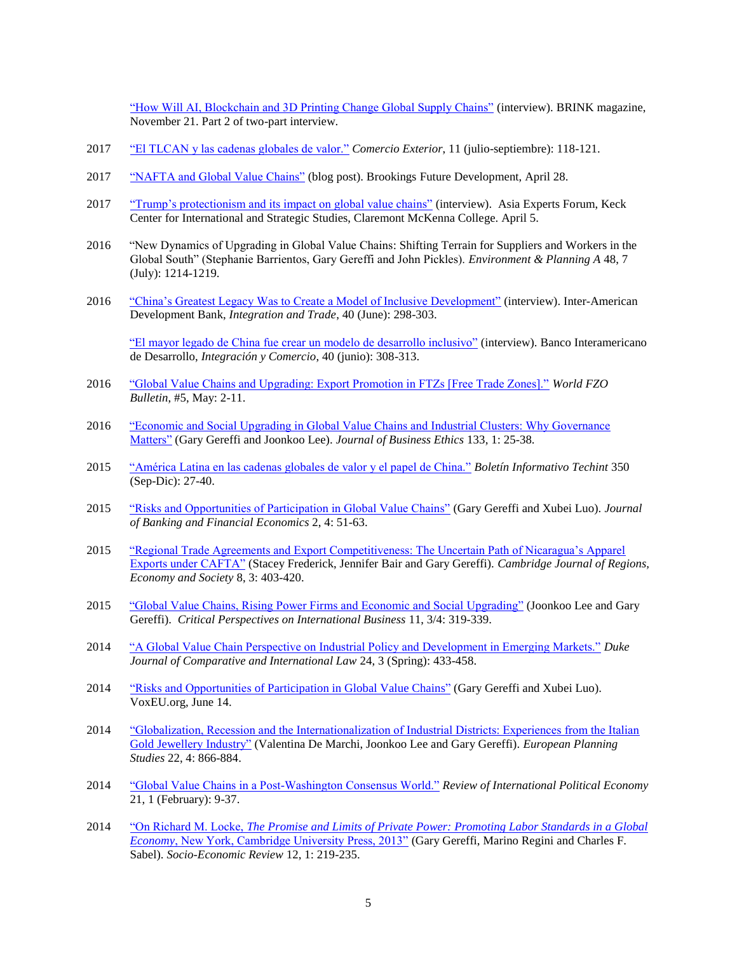["How Will AI, Blockchain and 3D Printing Change Global Supply Chains"](ttps://www.brinknews.com/how-will-automation-blockchain-and-3d-printing-change-global-supply-chains/) (interview). BRINK magazine, November 21. Part 2 of two-part interview.

- 2017 "El TLCAN [y las cadenas globales de valor."](http://www.revistacomercioexterior.com/articulo.php?id=297&t=el-tlcan-y-las-cadenas-globales-de-valor) *Comercio Exterior*, 11 (julio-septiembre): 118-121.
- 2017 ["NAFTA and Global Value Chains"](https://www.brookings.edu/blog/future-development/2017/04/28/understanding-trade-relations-in-a-value-chain-linked-world/) (blog post). Brookings Future Development, April 28.
- 2017 ["Trump's protectionism and its impact on global value chains"](https://www.cmc.edu/keck-center/asia-experts-forum/gary-gereffi-on-protectionism-and-its-impact-on-global-value-chains) (interview). Asia Experts Forum, Keck Center for International and Strategic Studies, Claremont McKenna College. April 5.
- 2016 "New Dynamics of Upgrading in Global Value Chains: Shifting Terrain for Suppliers and Workers in the Global South" (Stephanie Barrientos, Gary Gereffi and John Pickles). *Environment & Planning A* 48, 7 (July): 1214-1219.
- 2016 ["China's Greatest Legacy Was to Create a Model of Inclusive Development"](https://publications.iadb.org/handle/11319/7667) (interview). Inter-American Development Bank, *Integration and Trade*, 40 (June): 298-303.

["El mayor legado de China fue crear un modelo de desarrollo inclusivo"](https://publications.iadb.org/handle/11319/7667) (interview). Banco Interamericano de Desarrollo, *Integración y Comercio*, 40 (junio): 308-313.

- 2016 ["Global Value Chains and Upgrading: Export Promotion in FTZs \[Free Trade Zones\]."](http://www.cggc.duke.edu/pdfs/2016_May_World_FZO%20Bulletin_Gereffi_GVCs_Upgrading_Export_Promotion_FTZs.pdf) *World FZO Bulletin*, #5, May: 2-11.
- 2016 ["Economic and Social Upgrading in Global Value Chains and Industrial Clusters: Why Governance](file://///win.duke.edu/trinity/sociology/home/ggereffi/lanhome/Articles_GG/2016_JBE%20special%20issue%20on%20clusters/2016-01-24_Gereffi%20&%20Lee_JBE_Economic%20&%20social%20upgrading%20in%20GVCs%20&%20clusters%20-%20governance%20matters.pdf)  [Matters"](file://///win.duke.edu/trinity/sociology/home/ggereffi/lanhome/Articles_GG/2016_JBE%20special%20issue%20on%20clusters/2016-01-24_Gereffi%20&%20Lee_JBE_Economic%20&%20social%20upgrading%20in%20GVCs%20&%20clusters%20-%20governance%20matters.pdf) (Gary Gereffi and Joonkoo Lee). *Journal of Business Ethics* 133, 1: 25-38.
- 2015 ["América Latina en las cadenas globales de valor y el papel de China."](http://iosapp.boletintechint.com/Utils/DocumentPDF.ashx?Codigo=de1ce0db-619e-4a11-b100-afceaa4f331f&IdType=2) *Boletín Informativo Techint* 350 (Sep-Dic): 27-40.
- 2015 ["Risks and Opportunities of Participation in Global Value Chains"](http://www.wz.uw.edu.pl/portaleFiles/3842-journal-of-b/articles/jbfe42015/JBFE_2%284%292015_art4_akcept5.pdf) (Gary Gereffi and Xubei Luo). *Journal of Banking and Financial Economics* 2, 4: 51-63.
- 2015 ["Regional Trade Agreements and Export Competitiveness: The Uncertain Path of Nicaragua's Apparel](http://cjres.oxfordjournals.org/content/8/3/403.full.pdf)  [Exports under CAFTA"](http://cjres.oxfordjournals.org/content/8/3/403.full.pdf) (Stacey Frederick, Jennifer Bair and Gary Gereffi). *Cambridge Journal of Regions, Economy and Society* 8, 3: 403-420.
- 2015 ["Global Value Chains, Rising Power Firms and Economic and Social Upgrading"](http://www.emeraldinsight.com/toc/cpoib/11/3%2F4) (Joonkoo Lee and Gary Gereffi). *Critical Perspectives on International Business* 11, 3/4: 319-339.
- 2014 ["A Global Value Chain Perspective on Industrial Policy and Development in Emerging Markets."](http://djcil.law.duke.edu/) *Duke Journal of Comparative and International Law* 24, 3 (Spring): 433-458.
- 2014 "Risks and Opportunities [of Participation in Global Value Chains"](http://www.voxeu.org/article/global-value-chain-participation-risks-and-opportunities) (Gary Gereffi and Xubei Luo). VoxEU.org, June 14.
- 2014 ["Globalization, Recession and the Internationalization of Industrial Districts: Experiences from the Italian](http://www.tandfonline.com/doi/abs/10.1080/09654313.2013.771624)  [Gold Jewellery Industry"](http://www.tandfonline.com/doi/abs/10.1080/09654313.2013.771624) (Valentina De Marchi, Joonkoo Lee and Gary Gereffi). *European Planning Studies* 22, 4: 866-884.
- 2014 ["Global Value Chains in a Post-Washington Consensus World."](http://www.tandfonline.com/doi/abs/10.1080/09692290.2012.756414?src=recsys#.U2S63E3jh49) *Review of International Political Economy* 21, 1 (February): 9-37.
- 2014 "On Richard M. Locke, *The [Promise and Limits of Private Power: Promoting Labor Standards in a Global](http://ser.oxfordjournals.org/content/12/1/219.full.pdf+html)  Economy*[, New York, Cambridge University Press, 2013"](http://ser.oxfordjournals.org/content/12/1/219.full.pdf+html) (Gary Gereffi, Marino Regini and Charles F. Sabel). *Socio-Economic Review* 12, 1: 219-235.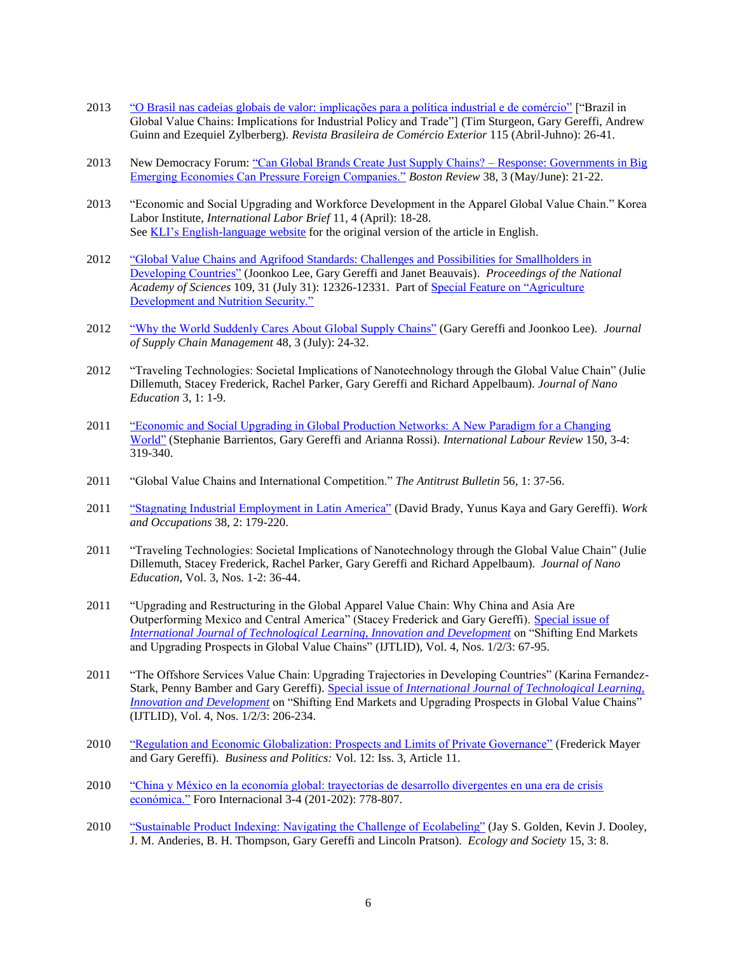- 2013 ["O Brasil nas cadeias globais de valor: implicações para a política industrial e de comércio"](http://www.funcex.org.br/downloadexterno/exclusivoautores/115_TSGGAGEZ.pdf.pdf) ["Brazil in Global Value Chains: Implications for Industrial Policy and Trade"] (Tim Sturgeon, Gary Gereffi, Andrew Guinn and Ezequiel Zylberberg). *Revista Brasileira de Comércio Exterior* 115 (Abril-Juhno): 26-41.
- 2013 New Democracy Forum: ["Can Global Brands Create Just Supply Chains? –](http://www.bostonreview.net/BR38.3/ndf_richard_locke_global_brands_labor_justice.php) Response: Governments in Big [Emerging Economies Can Pressure Foreign Companies."](http://www.bostonreview.net/BR38.3/ndf_richard_locke_global_brands_labor_justice.php) *Boston Review* 38, 3 (May/June): 21-22.
- 2013 "Economic and Social Upgrading and Workforce Development in the Apparel Global Value Chain." Korea Labor Institute, *International Labor Brief* 11, 4 (April): 18-28. See [KLI's English-language website](http://www.kli.re.kr/kli_ehome/publication/vew.ehome-100005?studyFieldSeq=5&ifEnDataExist=1&seq=7240) for the original version of the article in English.
- 2012 "Global Value Chains and Agrifood [Standards: Challenges and Possibilities for Smallholders in](http://www.pnas.org/content/109/31/12326.full.pdf+html)  [Developing Countries"](http://www.pnas.org/content/109/31/12326.full.pdf+html) (Joonkoo Lee, Gary Gereffi and Janet Beauvais). *Proceedings of the National Academy of Sciences* 109, 31 (July 31): 12326-12331. Part of [Special Feature on "Agriculture](http://www.pnas.org/content/109/31.toc)  [Development and Nutrition Security."](http://www.pnas.org/content/109/31.toc)
- 2012 ["Why the World Suddenly Cares About Global Supply Chains"](http://onlinelibrary.wiley.com/doi/10.1111/jscm.2012.48.issue-3/issuetoc) (Gary Gereffi and Joonkoo Lee). *Journal of Supply Chain Management* 48, 3 (July): 24-32.
- 2012 "Traveling Technologies: Societal Implications of Nanotechnology through the Global Value Chain" (Julie Dillemuth, Stacey Frederick, Rachel Parker, Gary Gereffi and Richard Appelbaum). *Journal of Nano Education* 3, 1: 1-9.
- 2011 ["Economic and Social Upgrading in Global Production Networks: A New Paradigm for a Changing](http://www.ilo.org/public/english/revue/download/pdf/150-3-4contents.pdf)  [World"](http://www.ilo.org/public/english/revue/download/pdf/150-3-4contents.pdf) (Stephanie Barrientos, Gary Gereffi and Arianna Rossi). *International Labour Review* 150, 3-4: 319-340.
- 2011 "Global Value Chains and International Competition." *The Antitrust Bulletin* 56, 1: 37-56.
- 2011 ["Stagnating Industrial Employment in Latin America"](http://wox.sagepub.com/content/38/2/179) (David Brady, Yunus Kaya and Gary Gereffi). *Work and Occupations* 38, 2: 179-220.
- 2011 "Traveling Technologies: Societal Implications of Nanotechnology through the Global Value Chain" (Julie Dillemuth, Stacey Frederick, Rachel Parker, Gary Gereffi and Richard Appelbaum). *Journal of Nano Education*, Vol. 3, Nos. 1-2: 36-44.
- 2011 "Upgrading and Restructuring in the Global Apparel Value Chain: Why China and Asia Are Outperforming Mexico and Central America" (Stacey Frederick and Gary Gereffi). [Special issue of](http://www.inderscience.com/browse/index.php?journalID=240&year=2011&vol=4&issue=1/2/3)  *[International Journal of Technological Learning, Innovation and Development](http://www.inderscience.com/browse/index.php?journalID=240&year=2011&vol=4&issue=1/2/3)* on "Shifting End Markets and Upgrading Prospects in Global Value Chains" (IJTLID), Vol. 4, Nos. 1/2/3: 67-95.
- 2011 "The Offshore Services Value Chain: Upgrading Trajectories in Developing Countries" (Karina Fernandez-Stark, Penny Bamber and Gary Gereffi). Special issue of *[International Journal of Technological Learning,](http://www.inderscience.com/browse/index.php?journalID=240&year=2011&vol=4&issue=1/2/3)  [Innovation and Development](http://www.inderscience.com/browse/index.php?journalID=240&year=2011&vol=4&issue=1/2/3)* on "Shifting End Markets and Upgrading Prospects in Global Value Chains" (IJTLID), Vol. 4, Nos. 1/2/3: 206-234.
- 2010 ["Regulation and Economic Globalization: Prospects and Limits of Private Governance"](http://www.bepress.com/bap/vol12/iss3/art11/) (Frederick Mayer and Gary Gereffi). *Business and Politics:* Vol. 12: Iss. 3, Article 11.
- 2010 ["China y México en la economía global: trayectorias de desarrollo divergentes en una era de crisis](http://www.jstor.org/action/showPublication?journalCode=forointe)  [económica."](http://www.jstor.org/action/showPublication?journalCode=forointe) Foro Internacional 3-4 (201-202): 778-807.
- 2010 ["Sustainable Product Indexing: Navigating the Challenge of](http://www.ecologyandsociety.org/vol15/iss3/art8/) Ecolabeling" (Jay S. Golden, Kevin J. Dooley, J. M. Anderies, B. H. Thompson, Gary Gereffi and Lincoln Pratson). *Ecology and Society* 15, 3: 8.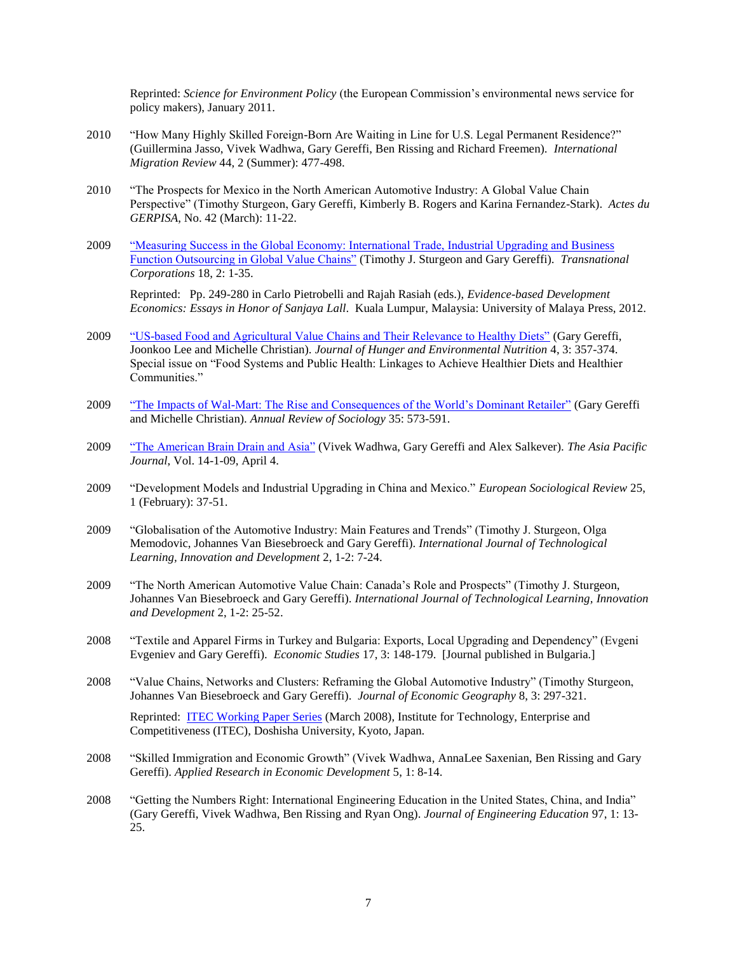Reprinted: *Science for Environment Policy* (the European Commission's environmental news service for policy makers), January 2011.

- 2010 "How Many Highly Skilled Foreign-Born Are Waiting in Line for U.S. Legal Permanent Residence?" (Guillermina Jasso, Vivek Wadhwa, Gary Gereffi, Ben Rissing and Richard Freemen). *International Migration Review* 44, 2 (Summer): 477-498.
- 2010 "The Prospects for Mexico in the North American Automotive Industry: A Global Value Chain Perspective" (Timothy Sturgeon, Gary Gereffi, Kimberly B. Rogers and Karina Fernandez-Stark). *Actes du GERPISA*, No. 42 (March): 11-22.
- 2009 ["Measuring Success in the Global Economy: International Trade, Industrial Upgrading and Business](http://www.unctad.org/en/docs/diaeiia200910a1_en.pdf)  [Function Outsourcing in Global Value Chains"](http://www.unctad.org/en/docs/diaeiia200910a1_en.pdf) (Timothy J. Sturgeon and Gary Gereffi). *Transnational Corporations* 18, 2: 1-35.

Reprinted: Pp. 249-280 in Carlo Pietrobelli and Rajah Rasiah (eds.), *Evidence-based Development Economics: Essays in Honor of Sanjaya Lall*. Kuala Lumpur, Malaysia: University of Malaya Press, 2012.

- 2009 ["US-based Food and Agricultural Value Chains and Their Relevance to Healthy Diets"](http://dx.doi.org/10.1080/19320240903321276) (Gary Gereffi, Joonkoo Lee and Michelle Christian). *Journal of Hunger and Environmental Nutrition* 4, 3: 357-374. Special issue on "Food Systems and Public Health: Linkages to Achieve Healthier Diets and Healthier Communities."
- 2009 ["The Impacts of Wal-Mart: The Rise and Consequences of the World's Dominant Retailer"](http://arjournals.annualreviews.org/eprint/QgubyPpNw6NT3uzIf5r2/full/10.1146/annurev-soc-070308-115947) (Gary Gereffi and Michelle Christian). *Annual Review of Sociology* 35: 573-591.
- 2009 ["The American Brain Drain and Asia"](http://japanfocus.org/-Alex-Salkever/3112) (Vivek Wadhwa, Gary Gereffi and Alex Salkever). *The Asia Pacific Journal*, Vol. 14-1-09, April 4.
- 2009 "Development Models and Industrial Upgrading in China and Mexico." *European Sociological Review* 25, 1 (February): 37-51.
- 2009 "Globalisation of the Automotive Industry: Main Features and Trends" (Timothy J. Sturgeon, Olga Memodovic, Johannes Van Biesebroeck and Gary Gereffi). *International Journal of Technological Learning, Innovation and Development* 2, 1-2: 7-24.
- 2009 "The North American Automotive Value Chain: Canada's Role and Prospects" (Timothy J. Sturgeon, Johannes Van Biesebroeck and Gary Gereffi). *International Journal of Technological Learning, Innovation and Development* 2, 1-2: 25-52.
- 2008 "Textile and Apparel Firms in Turkey and Bulgaria: Exports, Local Upgrading and Dependency" (Evgeni Evgeniev and Gary Gereffi). *Economic Studies* 17, 3: 148-179. [Journal published in Bulgaria.]
- 2008 "Value Chains, Networks and Clusters: Reframing the Global Automotive Industry" (Timothy Sturgeon, Johannes Van Biesebroeck and Gary Gereffi). *Journal of Economic Geography* 8, 3: 297-321.

Reprinted: [ITEC Working Paper Series](http://www.itec.doshisha-u.jp/) (March 2008), Institute for Technology, Enterprise and Competitiveness (ITEC), Doshisha University, Kyoto, Japan.

- 2008 "Skilled Immigration and Economic Growth" (Vivek Wadhwa, AnnaLee Saxenian, Ben Rissing and Gary Gereffi). *Applied Research in Economic Development* 5, 1: 8-14.
- 2008 "Getting the Numbers Right: International Engineering Education in the United States, China, and India" (Gary Gereffi, Vivek Wadhwa, Ben Rissing and Ryan Ong). *Journal of Engineering Education* 97, 1: 13- 25.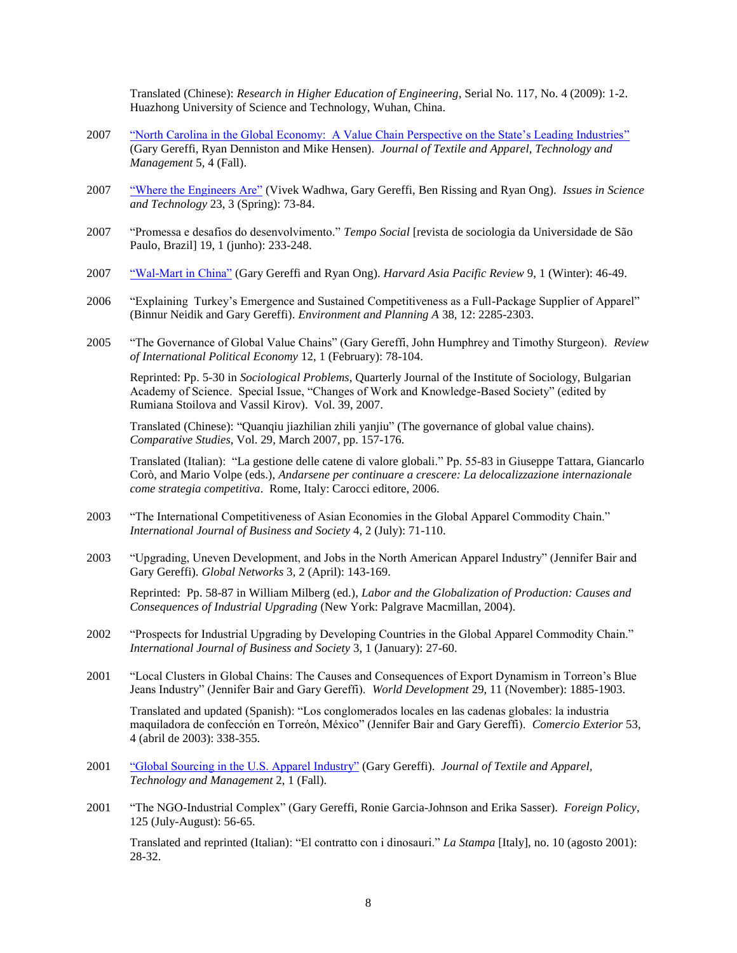Translated (Chinese): *Research in Higher Education of Engineering*, Serial No. 117, No. 4 (2009): 1-2. Huazhong University of Science and Technology, Wuhan, China.

- 2007 ["North Carolina in the Global Economy: A Value Chain Perspective on the State's Leading Industries"](http://www.tx.ncsu.edu/jtatm/volume5issue4/global_economy.html) (Gary Gereffi, Ryan Denniston and Mike Hensen). *Journal of Textile and Apparel, Technology and Management* 5, 4 (Fall).
- 2007 ["Where the Engineers Are"](http://www.issues.org/23.3/) (Vivek Wadhwa, Gary Gereffi, Ben Rissing and Ryan Ong). *Issues in Science and Technology* 23, 3 (Spring): 73-84.
- 2007 "Promessa e desafios do desenvolvimento." *Tempo Social* [revista de sociologia da Universidade de São Paulo, Brazil] 19, 1 (junho): 233-248.
- 2007 ["Wal-Mart in China"](http://www.hcs.harvard.edu/~hapr/winter07_gov/index.html) (Gary Gereffi and Ryan Ong). *Harvard Asia Pacific Review* 9, 1 (Winter): 46-49.
- 2006 "Explaining Turkey's Emergence and Sustained Competitiveness as a Full-Package Supplier of Apparel" (Binnur Neidik and Gary Gereffi). *Environment and Planning A* 38, 12: 2285-2303.
- 2005 "The Governance of Global Value Chains" (Gary Gereffi, John Humphrey and Timothy Sturgeon). *Review of International Political Economy* 12, 1 (February): 78-104.

Reprinted: Pp. 5-30 in *Sociological Problems*, Quarterly Journal of the Institute of Sociology, Bulgarian Academy of Science. Special Issue, "Changes of Work and Knowledge-Based Society" (edited by Rumiana Stoilova and Vassil Kirov). Vol. 39, 2007.

Translated (Chinese): "Quanqiu jiazhilian zhili yanjiu" (The governance of global value chains). *Comparative Studies*, Vol. 29, March 2007, pp. 157-176.

Translated (Italian): "La gestione delle catene di valore globali." Pp. 55-83 in Giuseppe Tattara, Giancarlo Corò, and Mario Volpe (eds.), *Andarsene per continuare a crescere: La delocalizzazione internazionale come strategia competitiva*. Rome, Italy: Carocci editore, 2006.

- 2003 "The International Competitiveness of Asian Economies in the Global Apparel Commodity Chain." *International Journal of Business and Society* 4, 2 (July): 71-110.
- 2003 "Upgrading, Uneven Development, and Jobs in the North American Apparel Industry" (Jennifer Bair and Gary Gereffi). *Global Networks* 3, 2 (April): 143-169.

Reprinted: Pp. 58-87 in William Milberg (ed.), *Labor and the Globalization of Production: Causes and Consequences of Industrial Upgrading* (New York: Palgrave Macmillan, 2004).

- 2002 "Prospects for Industrial Upgrading by Developing Countries in the Global Apparel Commodity Chain." *International Journal of Business and Society* 3, 1 (January): 27-60.
- 2001 "Local Clusters in Global Chains: The Causes and Consequences of Export Dynamism in Torreon's Blue Jeans Industry" (Jennifer Bair and Gary Gereffi). *World Development* 29, 11 (November): 1885-1903.

Translated and updated (Spanish): "Los conglomerados locales en las cadenas globales: la industria maquiladora de confección en Torreón, México" (Jennifer Bair and Gary Gereffi). *Comercio Exterior* 53, 4 (abril de 2003): 338-355.

- 2001 ["Global Sourcing in the U.S. Apparel Industry"](http://www.soc.duke.edu/~ggere/web/gereffi_global_sourcing_in_us_apparel.pdf) (Gary Gereffi). *Journal of Textile and Apparel, Technology and Management* 2, 1 (Fall).
- 2001 "The NGO-Industrial Complex" (Gary Gereffi, Ronie Garcia-Johnson and Erika Sasser). *Foreign Policy*, 125 (July-August): 56-65.

Translated and reprinted (Italian): "El contratto con i dinosauri." *La Stampa* [Italy], no. 10 (agosto 2001): 28-32.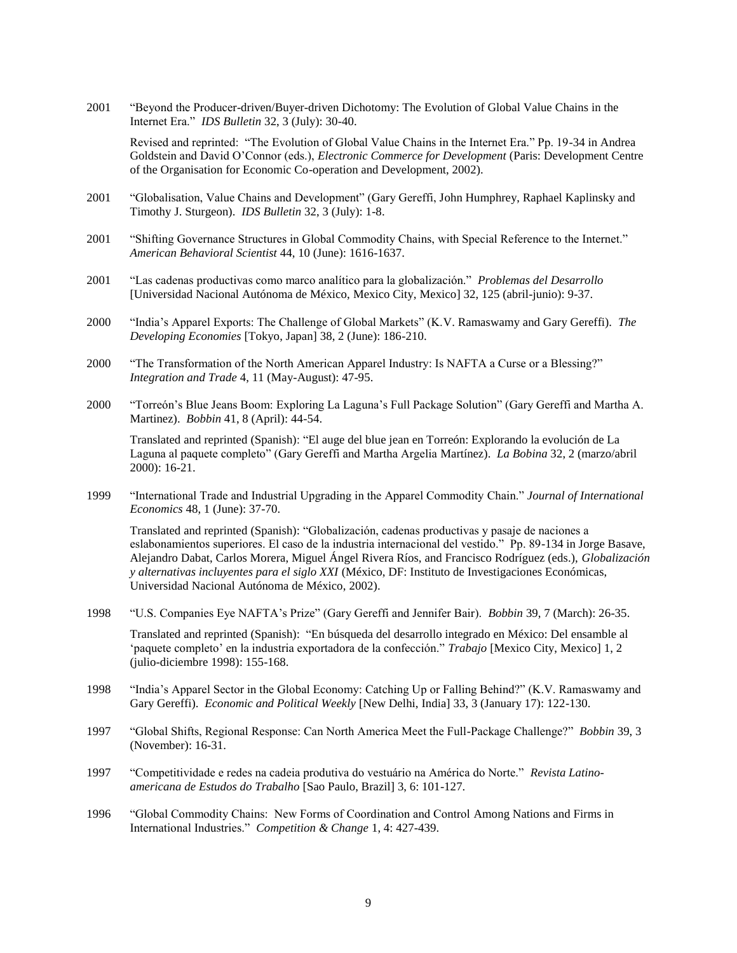2001 "Beyond the Producer-driven/Buyer-driven Dichotomy: The Evolution of Global Value Chains in the Internet Era." *IDS Bulletin* 32, 3 (July): 30-40.

Revised and reprinted: "The Evolution of Global Value Chains in the Internet Era." Pp. 19-34 in Andrea Goldstein and David O'Connor (eds.), *Electronic Commerce for Development* (Paris: Development Centre of the Organisation for Economic Co-operation and Development, 2002).

- 2001 "Globalisation, Value Chains and Development" (Gary Gereffi, John Humphrey, Raphael Kaplinsky and Timothy J. Sturgeon). *IDS Bulletin* 32, 3 (July): 1-8.
- 2001 "Shifting Governance Structures in Global Commodity Chains, with Special Reference to the Internet." *American Behavioral Scientist* 44, 10 (June): 1616-1637.
- 2001 "Las cadenas productivas como marco analítico para la globalización." *Problemas del Desarrollo* [Universidad Nacional Autónoma de México, Mexico City, Mexico] 32, 125 (abril-junio): 9-37.
- 2000 "India's Apparel Exports: The Challenge of Global Markets" (K.V. Ramaswamy and Gary Gereffi). *The Developing Economies* [Tokyo, Japan] 38, 2 (June): 186-210.
- 2000 "The Transformation of the North American Apparel Industry: Is NAFTA a Curse or a Blessing?" *Integration and Trade* 4, 11 (May-August): 47-95.
- 2000 "Torreón's Blue Jeans Boom: Exploring La Laguna's Full Package Solution" (Gary Gereffi and Martha A. Martinez). *Bobbin* 41, 8 (April): 44-54.

Translated and reprinted (Spanish): "El auge del blue jean en Torreón: Explorando la evolución de La Laguna al paquete completo" (Gary Gereffi and Martha Argelia Martínez). *La Bobina* 32, 2 (marzo/abril 2000): 16-21.

1999 "International Trade and Industrial Upgrading in the Apparel Commodity Chain." *Journal of International Economics* 48, 1 (June): 37-70.

Translated and reprinted (Spanish): "Globalización, cadenas productivas y pasaje de naciones a eslabonamientos superiores. El caso de la industria internacional del vestido." Pp. 89-134 in Jorge Basave, Alejandro Dabat, Carlos Morera, Miguel Ángel Rivera Ríos, and Francisco Rodríguez (eds.), *Globalización y alternativas incluyentes para el siglo XXI* (México, DF: Instituto de Investigaciones Económicas, Universidad Nacional Autónoma de México, 2002).

- 1998 "U.S. Companies Eye NAFTA's Prize" (Gary Gereffi and Jennifer Bair). *Bobbin* 39, 7 (March): 26-35. Translated and reprinted (Spanish): "En búsqueda del desarrollo integrado en México: Del ensamble al 'paquete completo' en la industria exportadora de la confección." *Trabajo* [Mexico City, Mexico] 1, 2 (julio-diciembre 1998): 155-168.
- 1998 "India's Apparel Sector in the Global Economy: Catching Up or Falling Behind?" (K.V. Ramaswamy and Gary Gereffi). *Economic and Political Weekly* [New Delhi, India] 33, 3 (January 17): 122-130.
- 1997 "Global Shifts, Regional Response: Can North America Meet the Full-Package Challenge?" *Bobbin* 39, 3 (November): 16-31.
- 1997 "Competitividade e redes na cadeia produtiva do vestuário na América do Norte." *Revista Latinoamericana de Estudos do Trabalho* [Sao Paulo, Brazil] 3, 6: 101-127.
- 1996 "Global Commodity Chains: New Forms of Coordination and Control Among Nations and Firms in International Industries." *Competition & Change* 1, 4: 427-439.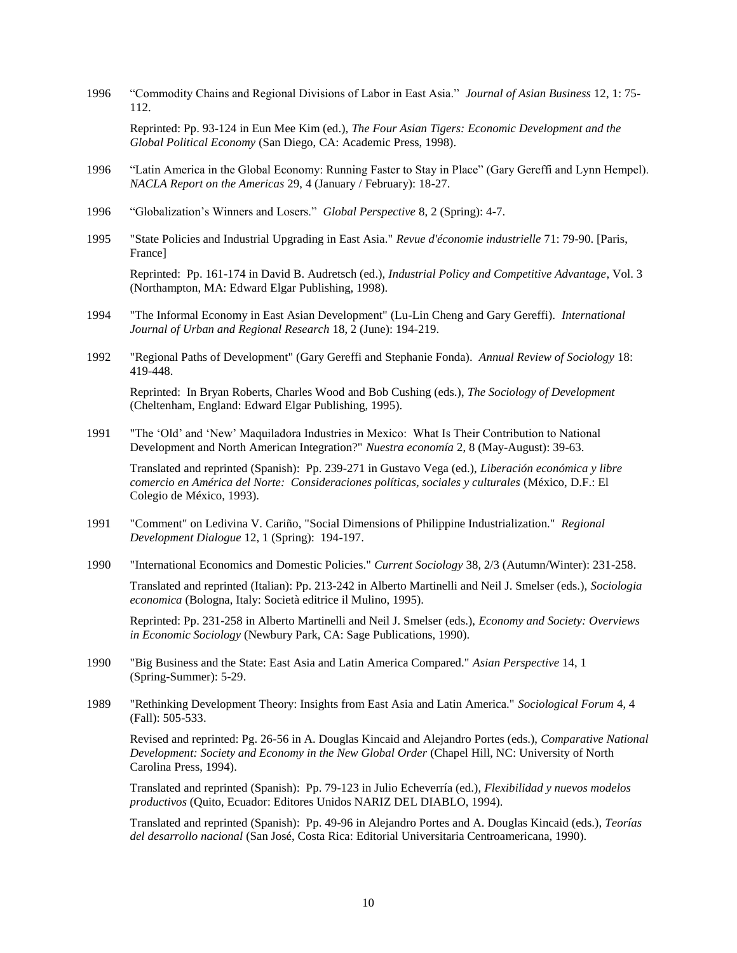1996 "Commodity Chains and Regional Divisions of Labor in East Asia." *Journal of Asian Business* 12, 1: 75- 112.

Reprinted: Pp. 93-124 in Eun Mee Kim (ed.), *The Four Asian Tigers: Economic Development and the Global Political Economy* (San Diego, CA: Academic Press, 1998).

- 1996 "Latin America in the Global Economy: Running Faster to Stay in Place" (Gary Gereffi and Lynn Hempel). *NACLA Report on the Americas* 29, 4 (January / February): 18-27.
- 1996 "Globalization's Winners and Losers." *Global Perspective* 8, 2 (Spring): 4-7.
- 1995 "State Policies and Industrial Upgrading in East Asia." *Revue d'économie industrielle* 71: 79-90. [Paris, France]

Reprinted: Pp. 161-174 in David B. Audretsch (ed.), *Industrial Policy and Competitive Advantage*, Vol. 3 (Northampton, MA: Edward Elgar Publishing, 1998).

- 1994 "The Informal Economy in East Asian Development" (Lu-Lin Cheng and Gary Gereffi). *International Journal of Urban and Regional Research* 18, 2 (June): 194-219.
- 1992 "Regional Paths of Development" (Gary Gereffi and Stephanie Fonda). *Annual Review of Sociology* 18: 419-448. Reprinted: In Bryan Roberts, Charles Wood and Bob Cushing (eds.), *The Sociology of Development* (Cheltenham, England: Edward Elgar Publishing, 1995).
- 1991 "The 'Old' and 'New' Maquiladora Industries in Mexico: What Is Their Contribution to National Development and North American Integration?" *Nuestra economía* 2, 8 (May-August): 39-63.

Translated and reprinted (Spanish): Pp. 239-271 in Gustavo Vega (ed.), *Liberación económica y libre comercio en América del Norte: Consideraciones políticas, sociales y culturales* (México, D.F.: El Colegio de México, 1993).

- 1991 "Comment" on Ledivina V. Cariño, "Social Dimensions of Philippine Industrialization." *Regional Development Dialogue* 12, 1 (Spring): 194-197.
- 1990 "International Economics and Domestic Policies." *Current Sociology* 38, 2/3 (Autumn/Winter): 231-258.

Translated and reprinted (Italian): Pp. 213-242 in Alberto Martinelli and Neil J. Smelser (eds.), *Sociologia economica* (Bologna, Italy: Società editrice il Mulino, 1995).

Reprinted: Pp. 231-258 in Alberto Martinelli and Neil J. Smelser (eds.), *Economy and Society: Overviews in Economic Sociology* (Newbury Park, CA: Sage Publications, 1990).

- 1990 "Big Business and the State: East Asia and Latin America Compared." *Asian Perspective* 14, 1 (Spring-Summer): 5-29.
- 1989 "Rethinking Development Theory: Insights from East Asia and Latin America." *Sociological Forum* 4, 4 (Fall): 505-533.

Revised and reprinted: Pg. 26-56 in A. Douglas Kincaid and Alejandro Portes (eds.), *Comparative National Development: Society and Economy in the New Global Order* (Chapel Hill, NC: University of North Carolina Press, 1994).

Translated and reprinted (Spanish): Pp. 79-123 in Julio Echeverría (ed.), *Flexibilidad y nuevos modelos productivos* (Quito, Ecuador: Editores Unidos NARIZ DEL DIABLO, 1994).

Translated and reprinted (Spanish): Pp. 49-96 in Alejandro Portes and A. Douglas Kincaid (eds.), *Teorías del desarrollo nacional* (San José, Costa Rica: Editorial Universitaria Centroamericana, 1990).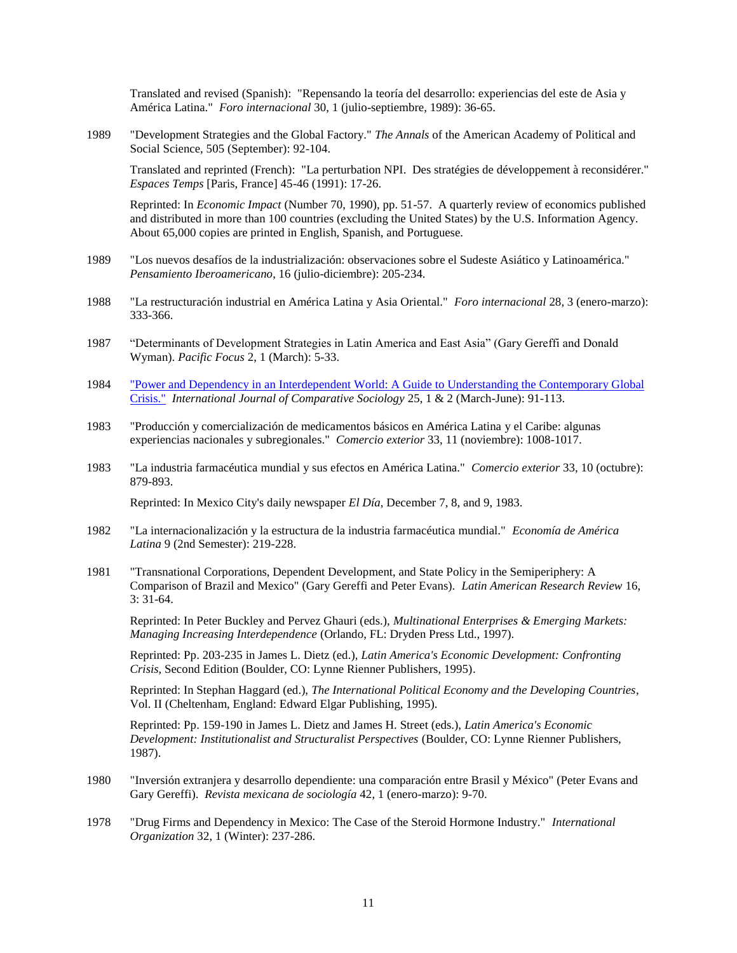Translated and revised (Spanish): "Repensando la teoría del desarrollo: experiencias del este de Asia y América Latina." *Foro internacional* 30, 1 (julio-septiembre, 1989): 36-65.

1989 "Development Strategies and the Global Factory." *The Annals* of the American Academy of Political and Social Science, 505 (September): 92-104.

Translated and reprinted (French): "La perturbation NPI. Des stratégies de développement à reconsidérer." *Espaces Temps* [Paris, France] 45-46 (1991): 17-26.

Reprinted: In *Economic Impact* (Number 70, 1990), pp. 51-57. A quarterly review of economics published and distributed in more than 100 countries (excluding the United States) by the U.S. Information Agency. About 65,000 copies are printed in English, Spanish, and Portuguese.

- 1989 "Los nuevos desafíos de la industrialización: observaciones sobre el Sudeste Asiático y Latinoamérica." *Pensamiento Iberoamericano*, 16 (julio-diciembre): 205-234.
- 1988 "La restructuración industrial en América Latina y Asia Oriental." *Foro internacional* 28, 3 (enero-marzo): 333-366.
- 1987 "Determinants of Development Strategies in Latin America and East Asia" (Gary Gereffi and Donald Wyman). *Pacific Focus* 2, 1 (March): 5-33.
- 1984 ["Power and Dependency in an Interdependent World: A Guide to Understanding the Contemporary Global](http://booksandjournals.brillonline.com/content/journals/10.1163/156854284x00070)  [Crisis."](http://booksandjournals.brillonline.com/content/journals/10.1163/156854284x00070) *International Journal of Comparative Sociology* 25, 1 & 2 (March-June): 91-113.
- 1983 "Producción y comercialización de medicamentos básicos en América Latina y el Caribe: algunas experiencias nacionales y subregionales." *Comercio exterior* 33, 11 (noviembre): 1008-1017.
- 1983 "La industria farmacéutica mundial y sus efectos en América Latina." *Comercio exterior* 33, 10 (octubre): 879-893.

Reprinted: In Mexico City's daily newspaper *El Día*, December 7, 8, and 9, 1983.

- 1982 "La internacionalización y la estructura de la industria farmacéutica mundial." *Economía de América Latina* 9 (2nd Semester): 219-228.
- 1981 "Transnational Corporations, Dependent Development, and State Policy in the Semiperiphery: A Comparison of Brazil and Mexico" (Gary Gereffi and Peter Evans). *Latin American Research Review* 16, 3: 31-64.

Reprinted: In Peter Buckley and Pervez Ghauri (eds.), *Multinational Enterprises & Emerging Markets: Managing Increasing Interdependence* (Orlando, FL: Dryden Press Ltd., 1997).

Reprinted: Pp. 203-235 in James L. Dietz (ed.), *Latin America's Economic Development: Confronting Crisis*, Second Edition (Boulder, CO: Lynne Rienner Publishers, 1995).

Reprinted: In Stephan Haggard (ed.), *The International Political Economy and the Developing Countries*, Vol. II (Cheltenham, England: Edward Elgar Publishing, 1995).

Reprinted: Pp. 159-190 in James L. Dietz and James H. Street (eds.), *Latin America's Economic Development: Institutionalist and Structuralist Perspectives* (Boulder, CO: Lynne Rienner Publishers, 1987).

- 1980 "Inversión extranjera y desarrollo dependiente: una comparación entre Brasil y México" (Peter Evans and Gary Gereffi). *Revista mexicana de sociología* 42, 1 (enero-marzo): 9-70.
- 1978 "Drug Firms and Dependency in Mexico: The Case of the Steroid Hormone Industry." *International Organization* 32, 1 (Winter): 237-286.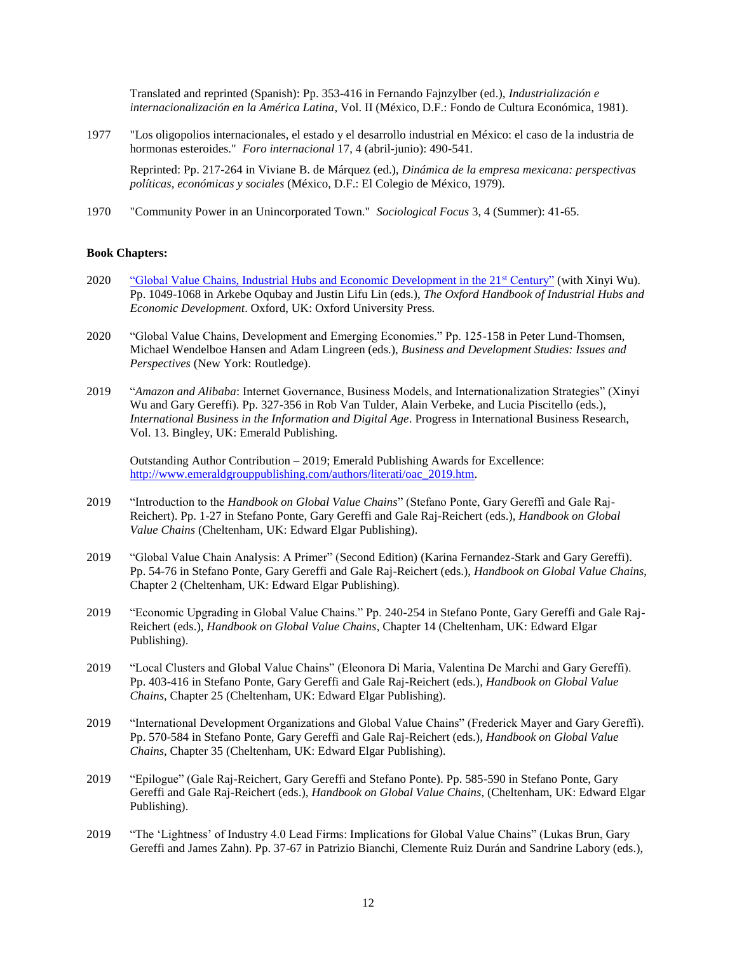Translated and reprinted (Spanish): Pp. 353-416 in Fernando Fajnzylber (ed.), *Industrialización e internacionalización en la América Latina*, Vol. II (México, D.F.: Fondo de Cultura Económica, 1981).

1977 "Los oligopolios internacionales, el estado y el desarrollo industrial en México: el caso de la industria de hormonas esteroides." *Foro internacional* 17, 4 (abril-junio): 490-541.

Reprinted: Pp. 217-264 in Viviane B. de Márquez (ed.), *Dinámica de la empresa mexicana: perspectivas políticas, económicas y sociales* (México, D.F.: El Colegio de México, 1979).

1970 "Community Power in an Unincorporated Town." *Sociological Focus* 3, 4 (Summer): 41-65.

### **Book Chapters:**

- 2020 ["Global Value Chains, Industrial Hubs and Economic Development in the 21](https://www.oxfordhandbooks.com/view/10.1093/oxfordhb/9780198850434.001.0001/oxfordhb-9780198850434-e-53)st Century" (with Xinyi Wu). Pp. 1049-1068 in Arkebe Oqubay and Justin Lifu Lin (eds.), *The Oxford Handbook of Industrial Hubs and Economic Development*. Oxford, UK: Oxford University Press.
- 2020 "Global Value Chains, Development and Emerging Economies." Pp. 125-158 in Peter Lund-Thomsen, Michael Wendelboe Hansen and Adam Lingreen (eds.), *Business and Development Studies: Issues and Perspectives* (New York: Routledge).
- 2019 "*Amazon and Alibaba*: Internet Governance, Business Models, and Internationalization Strategies" (Xinyi Wu and Gary Gereffi). Pp. 327-356 in Rob Van Tulder, Alain Verbeke, and Lucia Piscitello (eds.), *International Business in the Information and Digital Age*. Progress in International Business Research, Vol. 13. Bingley, UK: Emerald Publishing.

Outstanding Author Contribution – 2019; Emerald Publishing Awards for Excellence: [http://www.emeraldgrouppublishing.com/authors/literati/oac\\_2019.htm.](http://www.emeraldgrouppublishing.com/authors/literati/oac_2019.htm)

- 2019 "Introduction to the *Handbook on Global Value Chains*" (Stefano Ponte, Gary Gereffi and Gale Raj-Reichert). Pp. 1-27 in Stefano Ponte, Gary Gereffi and Gale Raj-Reichert (eds.), *Handbook on Global Value Chains* (Cheltenham, UK: Edward Elgar Publishing).
- 2019 "Global Value Chain Analysis: A Primer" (Second Edition) (Karina Fernandez-Stark and Gary Gereffi). Pp. 54-76 in Stefano Ponte, Gary Gereffi and Gale Raj-Reichert (eds.), *Handbook on Global Value Chains*, Chapter 2 (Cheltenham, UK: Edward Elgar Publishing).
- 2019 "Economic Upgrading in Global Value Chains." Pp. 240-254 in Stefano Ponte, Gary Gereffi and Gale Raj-Reichert (eds.), *Handbook on Global Value Chains*, Chapter 14 (Cheltenham, UK: Edward Elgar Publishing).
- 2019 "Local Clusters and Global Value Chains" (Eleonora Di Maria, Valentina De Marchi and Gary Gereffi). Pp. 403-416 in Stefano Ponte, Gary Gereffi and Gale Raj-Reichert (eds.), *Handbook on Global Value Chains*, Chapter 25 (Cheltenham, UK: Edward Elgar Publishing).
- 2019 "International Development Organizations and Global Value Chains" (Frederick Mayer and Gary Gereffi). Pp. 570-584 in Stefano Ponte, Gary Gereffi and Gale Raj-Reichert (eds.), *Handbook on Global Value Chains*, Chapter 35 (Cheltenham, UK: Edward Elgar Publishing).
- 2019 "Epilogue" (Gale Raj-Reichert, Gary Gereffi and Stefano Ponte). Pp. 585-590 in Stefano Ponte, Gary Gereffi and Gale Raj-Reichert (eds.), *Handbook on Global Value Chains*, (Cheltenham, UK: Edward Elgar Publishing).
- 2019 "The 'Lightness' of Industry 4.0 Lead Firms: Implications for Global Value Chains" (Lukas Brun, Gary Gereffi and James Zahn). Pp. 37-67 in Patrizio Bianchi, Clemente Ruiz Durán and Sandrine Labory (eds.),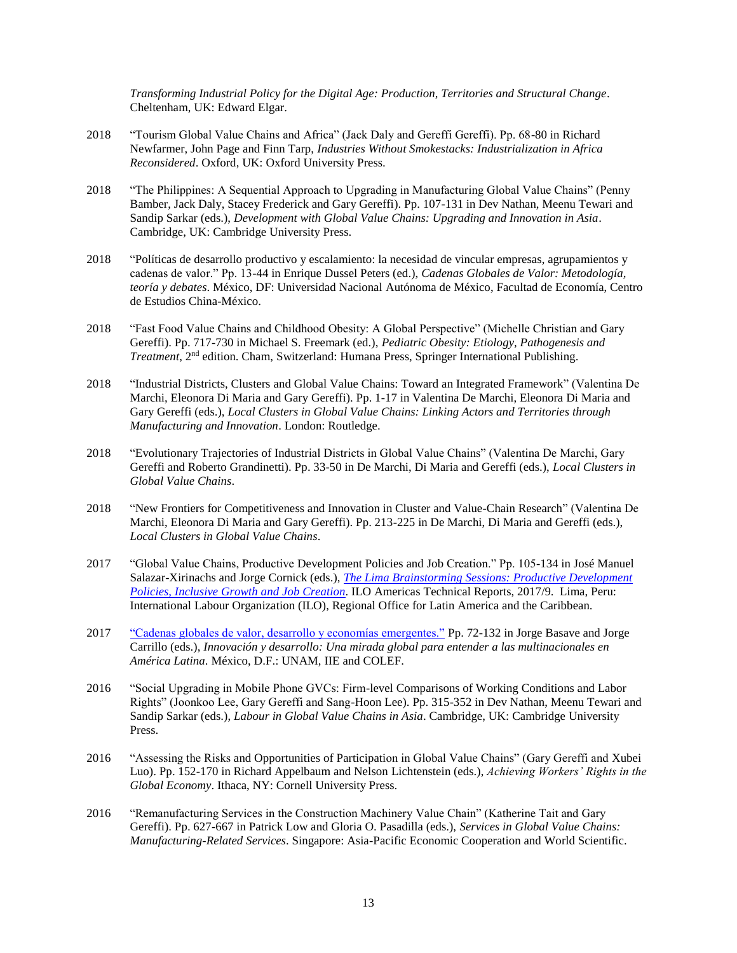*Transforming Industrial Policy for the Digital Age: Production, Territories and Structural Change*. Cheltenham, UK: Edward Elgar.

- 2018 "Tourism Global Value Chains and Africa" (Jack Daly and Gereffi Gereffi). Pp. 68-80 in Richard Newfarmer, John Page and Finn Tarp, *Industries Without Smokestacks: Industrialization in Africa Reconsidered*. Oxford, UK: Oxford University Press.
- 2018 "The Philippines: A Sequential Approach to Upgrading in Manufacturing Global Value Chains" (Penny Bamber, Jack Daly, Stacey Frederick and Gary Gereffi). Pp. 107-131 in Dev Nathan, Meenu Tewari and Sandip Sarkar (eds.), *Development with Global Value Chains: Upgrading and Innovation in Asia*. Cambridge, UK: Cambridge University Press.
- 2018 "Políticas de desarrollo productivo y escalamiento: la necesidad de vincular empresas, agrupamientos y cadenas de valor." Pp. 13-44 in Enrique Dussel Peters (ed.), *Cadenas Globales de Valor: Metodología, teoría y debates*. México, DF: Universidad Nacional Autónoma de México, Facultad de Economía, Centro de Estudios China-México.
- 2018 "Fast Food Value Chains and Childhood Obesity: A Global Perspective" (Michelle Christian and Gary Gereffi). Pp. 717-730 in Michael S. Freemark (ed.), *Pediatric Obesity: Etiology, Pathogenesis and Treatment*, 2nd edition. Cham, Switzerland: Humana Press, Springer International Publishing.
- 2018 "Industrial Districts, Clusters and Global Value Chains: Toward an Integrated Framework" (Valentina De Marchi, Eleonora Di Maria and Gary Gereffi). Pp. 1-17 in Valentina De Marchi, Eleonora Di Maria and Gary Gereffi (eds.), *Local Clusters in Global Value Chains: Linking Actors and Territories through Manufacturing and Innovation*. London: Routledge.
- 2018 "Evolutionary Trajectories of Industrial Districts in Global Value Chains" (Valentina De Marchi, Gary Gereffi and Roberto Grandinetti). Pp. 33-50 in De Marchi, Di Maria and Gereffi (eds.), *Local Clusters in Global Value Chains*.
- 2018 "New Frontiers for Competitiveness and Innovation in Cluster and Value-Chain Research" (Valentina De Marchi, Eleonora Di Maria and Gary Gereffi). Pp. 213-225 in De Marchi, Di Maria and Gereffi (eds.), *Local Clusters in Global Value Chains*.
- 2017 "Global Value Chains, Productive Development Policies and Job Creation." Pp. 105-134 in José Manuel Salazar-Xirinachs and Jorge Cornick (eds.), *[The Lima Brainstorming Sessions: Productive Development](http://www.ilo.org/americas/sala-de-prensa/WCMS_601667/lang--en/index.htm)  [Policies, Inclusive Growth and Job Creation](http://www.ilo.org/americas/sala-de-prensa/WCMS_601667/lang--en/index.htm)*. ILO Americas Technical Reports, 2017/9. Lima, Peru: International Labour Organization (ILO), Regional Office for Latin America and the Caribbean.
- 2017 ["Cadenas globales de valor, desarrollo y economías emergentes."](http://www.iiec.unam.mx/publicaciones/libros_electronicos/innovaci%C3%B3n-y-desarrollo-una-mirada-global-para-entender-las) Pp. 72-132 in Jorge Basave and Jorge Carrillo (eds.), *Innovación y desarrollo: Una mirada global para entender a las multinacionales en América Latina*. México, D.F.: UNAM, IIE and COLEF.
- 2016 "Social Upgrading in Mobile Phone GVCs: Firm-level Comparisons of Working Conditions and Labor Rights" (Joonkoo Lee, Gary Gereffi and Sang-Hoon Lee). Pp. 315-352 in Dev Nathan, Meenu Tewari and Sandip Sarkar (eds.), *Labour in Global Value Chains in Asia*. Cambridge, UK: Cambridge University Press.
- 2016 "Assessing the Risks and Opportunities of Participation in Global Value Chains" (Gary Gereffi and Xubei Luo). Pp. 152-170 in Richard Appelbaum and Nelson Lichtenstein (eds.), *Achieving Workers' Rights in the Global Economy*. Ithaca, NY: Cornell University Press.
- 2016 "Remanufacturing Services in the Construction Machinery Value Chain" (Katherine Tait and Gary Gereffi). Pp. 627-667 in Patrick Low and Gloria O. Pasadilla (eds.), *Services in Global Value Chains: Manufacturing-Related Services*. Singapore: Asia-Pacific Economic Cooperation and World Scientific.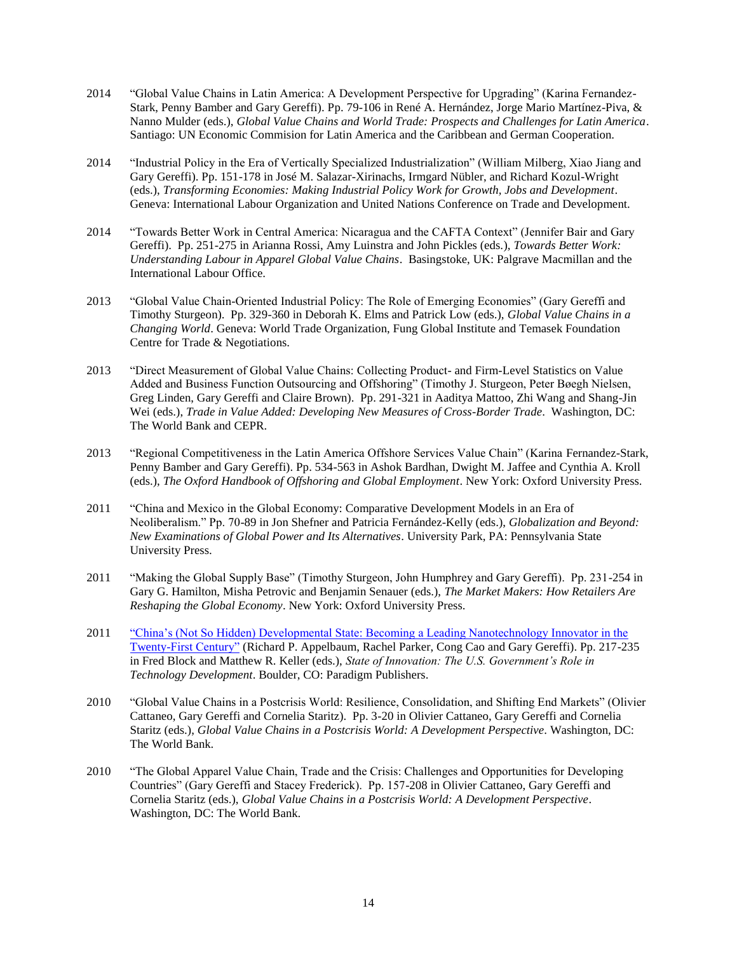- 2014 "Global Value Chains in Latin America: A Development Perspective for Upgrading" (Karina Fernandez-Stark, Penny Bamber and Gary Gereffi). Pp. 79-106 in René A. Hernández, Jorge Mario Martínez-Piva, & Nanno Mulder (eds.), *Global Value Chains and World Trade: Prospects and Challenges for Latin America*. Santiago: UN Economic Commision for Latin America and the Caribbean and German Cooperation.
- 2014 "Industrial Policy in the Era of Vertically Specialized Industrialization" (William Milberg, Xiao Jiang and Gary Gereffi). Pp. 151-178 in José M. Salazar-Xirinachs, Irmgard Nübler, and Richard Kozul-Wright (eds.), *Transforming Economies: Making Industrial Policy Work for Growth, Jobs and Development*. Geneva: International Labour Organization and United Nations Conference on Trade and Development.
- 2014 "Towards Better Work in Central America: Nicaragua and the CAFTA Context" (Jennifer Bair and Gary Gereffi). Pp. 251-275 in Arianna Rossi, Amy Luinstra and John Pickles (eds.), *Towards Better Work: Understanding Labour in Apparel Global Value Chains*. Basingstoke, UK: Palgrave Macmillan and the International Labour Office.
- 2013 "Global Value Chain-Oriented Industrial Policy: The Role of Emerging Economies" (Gary Gereffi and Timothy Sturgeon). Pp. 329-360 in Deborah K. Elms and Patrick Low (eds.), *Global Value Chains in a Changing World*. Geneva: World Trade Organization, Fung Global Institute and Temasek Foundation Centre for Trade & Negotiations.
- 2013 "Direct Measurement of Global Value Chains: Collecting Product- and Firm-Level Statistics on Value Added and Business Function Outsourcing and Offshoring" (Timothy J. Sturgeon, Peter Bøegh Nielsen, Greg Linden, Gary Gereffi and Claire Brown). Pp. 291-321 in Aaditya Mattoo, Zhi Wang and Shang-Jin Wei (eds.), *Trade in Value Added: Developing New Measures of Cross-Border Trade*. Washington, DC: The World Bank and CEPR.
- 2013 "Regional Competitiveness in the Latin America Offshore Services Value Chain" (Karina Fernandez-Stark, Penny Bamber and Gary Gereffi). Pp. 534-563 in Ashok Bardhan, Dwight M. Jaffee and Cynthia A. Kroll (eds.), *The Oxford Handbook of Offshoring and Global Employment*. New York: Oxford University Press.
- 2011 "China and Mexico in the Global Economy: Comparative Development Models in an Era of Neoliberalism." Pp. 70-89 in Jon Shefner and Patricia Fernández-Kelly (eds.), *Globalization and Beyond: New Examinations of Global Power and Its Alternatives*. University Park, PA: Pennsylvania State University Press.
- 2011 "Making the Global Supply Base" (Timothy Sturgeon, John Humphrey and Gary Gereffi). Pp. 231-254 in Gary G. Hamilton, Misha Petrovic and Benjamin Senauer (eds.), *The Market Makers: How Retailers Are Reshaping the Global Economy*. New York: Oxford University Press.
- 2011 ["China's \(Not So Hidden\) Developmental State: Becoming a Leading Nanotechnology Innovator in the](http://www.cggc.duke.edu/pdfs/Nanotech_Presentations/China_not-so-hidden_developmental_state_published.pdf)  [Twenty-First Century"](http://www.cggc.duke.edu/pdfs/Nanotech_Presentations/China_not-so-hidden_developmental_state_published.pdf) (Richard P. Appelbaum, Rachel Parker, Cong Cao and Gary Gereffi). Pp. 217-235 in Fred Block and Matthew R. Keller (eds.), *State of Innovation: The U.S. Government's Role in Technology Development*. Boulder, CO: Paradigm Publishers.
- 2010 "Global Value Chains in a Postcrisis World: Resilience, Consolidation, and Shifting End Markets" (Olivier Cattaneo, Gary Gereffi and Cornelia Staritz). Pp. 3-20 in Olivier Cattaneo, Gary Gereffi and Cornelia Staritz (eds.), *Global Value Chains in a Postcrisis World: A Development Perspective*. Washington, DC: The World Bank.
- 2010 "The Global Apparel Value Chain, Trade and the Crisis: Challenges and Opportunities for Developing Countries" (Gary Gereffi and Stacey Frederick). Pp. 157-208 in Olivier Cattaneo, Gary Gereffi and Cornelia Staritz (eds.), *Global Value Chains in a Postcrisis World: A Development Perspective*. Washington, DC: The World Bank.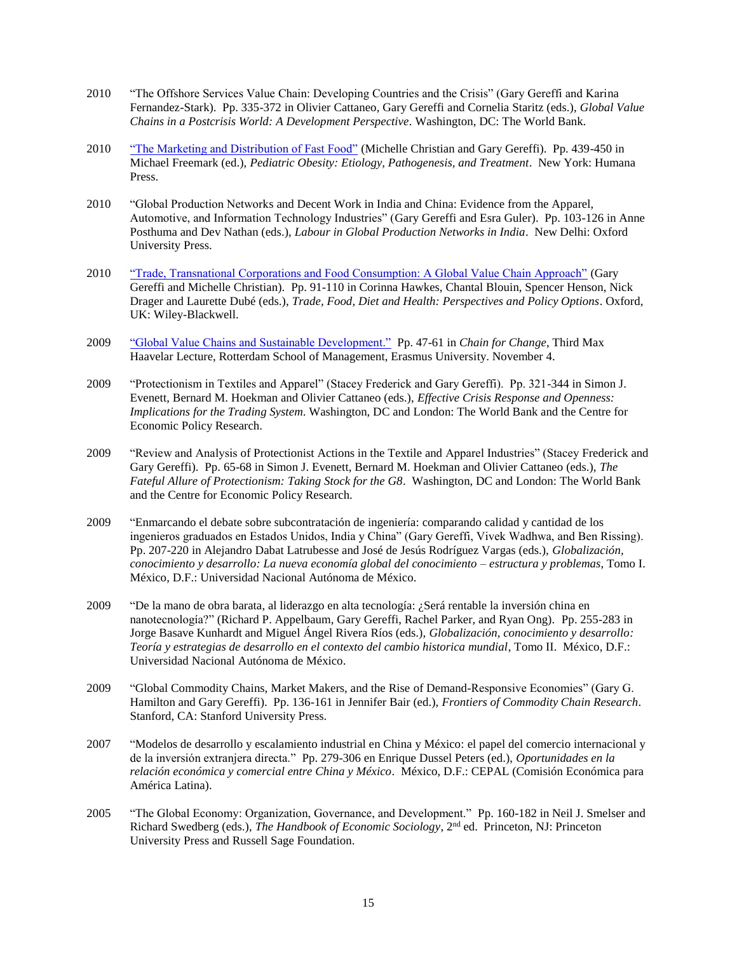- 2010 "The Offshore Services Value Chain: Developing Countries and the Crisis" (Gary Gereffi and Karina Fernandez-Stark). Pp. 335-372 in Olivier Cattaneo, Gary Gereffi and Cornelia Staritz (eds.), *Global Value Chains in a Postcrisis World: A Development Perspective*. Washington, DC: The World Bank.
- 2010 ["The Marketing and Distribution of Fast Food"](http://www.cggc.duke.edu/db_research.php?cat=gh) (Michelle Christian and Gary Gereffi). Pp. 439-450 in Michael Freemark (ed.), *Pediatric Obesity: Etiology, Pathogenesis, and Treatment*. New York: Humana Press.
- 2010 "Global Production Networks and Decent Work in India and China: Evidence from the Apparel, Automotive, and Information Technology Industries" (Gary Gereffi and Esra Guler). Pp. 103-126 in Anne Posthuma and Dev Nathan (eds.), *Labour in Global Production Networks in India*. New Delhi: Oxford University Press.
- 2010 ["Trade, Transnational Corporations and Food Consumption: A Global Value Chain Approach"](http://www.cggc.duke.edu/db_research.php?cat=gh) (Gary Gereffi and Michelle Christian). Pp. 91-110 in Corinna Hawkes, Chantal Blouin, Spencer Henson, Nick Drager and Laurette Dubé (eds.), *Trade, Food, Diet and Health: Perspectives and Policy Options*. Oxford, UK: Wiley-Blackwell.
- 2009 ["Global Value Chains and Sustainable Development."](http://www.maxhavelaarlecture.org/downloads/max_havelaar_lectures_2009_booklet.pdf) Pp. 47-61 in *Chain for Change*, Third Max Haavelar Lecture, Rotterdam School of Management, Erasmus University. November 4.
- 2009 "Protectionism in Textiles and Apparel" (Stacey Frederick and Gary Gereffi). Pp. 321-344 in Simon J. Evenett, Bernard M. Hoekman and Olivier Cattaneo (eds.), *Effective Crisis Response and Openness: Implications for the Trading System*. Washington, DC and London: The World Bank and the Centre for Economic Policy Research.
- 2009 "Review and Analysis of Protectionist Actions in the Textile and Apparel Industries" (Stacey Frederick and Gary Gereffi). Pp. 65-68 in Simon J. Evenett, Bernard M. Hoekman and Olivier Cattaneo (eds.), *The Fateful Allure of Protectionism: Taking Stock for the G8*. Washington, DC and London: The World Bank and the Centre for Economic Policy Research.
- 2009 "Enmarcando el debate sobre subcontratación de ingeniería: comparando calidad y cantidad de los ingenieros graduados en Estados Unidos, India y China" (Gary Gereffi, Vivek Wadhwa, and Ben Rissing). Pp. 207-220 in Alejandro Dabat Latrubesse and José de Jesús Rodríguez Vargas (eds.), *Globalización, conocimiento y desarrollo: La nueva economía global del conocimiento – estructura y problemas*, Tomo I. México, D.F.: Universidad Nacional Autónoma de México.
- 2009 "De la mano de obra barata, al liderazgo en alta tecnología: ¿Será rentable la inversión china en nanotecnología?" (Richard P. Appelbaum, Gary Gereffi, Rachel Parker, and Ryan Ong). Pp. 255-283 in Jorge Basave Kunhardt and Miguel Ángel Rivera Ríos (eds.), *Globalización, conocimiento y desarrollo: Teoría y estrategias de desarrollo en el contexto del cambio historica mundial*, Tomo II. México, D.F.: Universidad Nacional Autónoma de México.
- 2009 "Global Commodity Chains, Market Makers, and the Rise of Demand-Responsive Economies" (Gary G. Hamilton and Gary Gereffi). Pp. 136-161 in Jennifer Bair (ed.), *Frontiers of Commodity Chain Research*. Stanford, CA: Stanford University Press.
- 2007 "Modelos de desarrollo y escalamiento industrial en China y México: el papel del comercio internacional y de la inversión extranjera directa." Pp. 279-306 en Enrique Dussel Peters (ed.), *Oportunidades en la relación económica y comercial entre China y México*. México, D.F.: CEPAL (Comisión Económica para América Latina).
- 2005 "The Global Economy: Organization, Governance, and Development." Pp. 160-182 in Neil J. Smelser and Richard Swedberg (eds.), *The Handbook of Economic Sociology*, 2nd ed. Princeton, NJ: Princeton University Press and Russell Sage Foundation.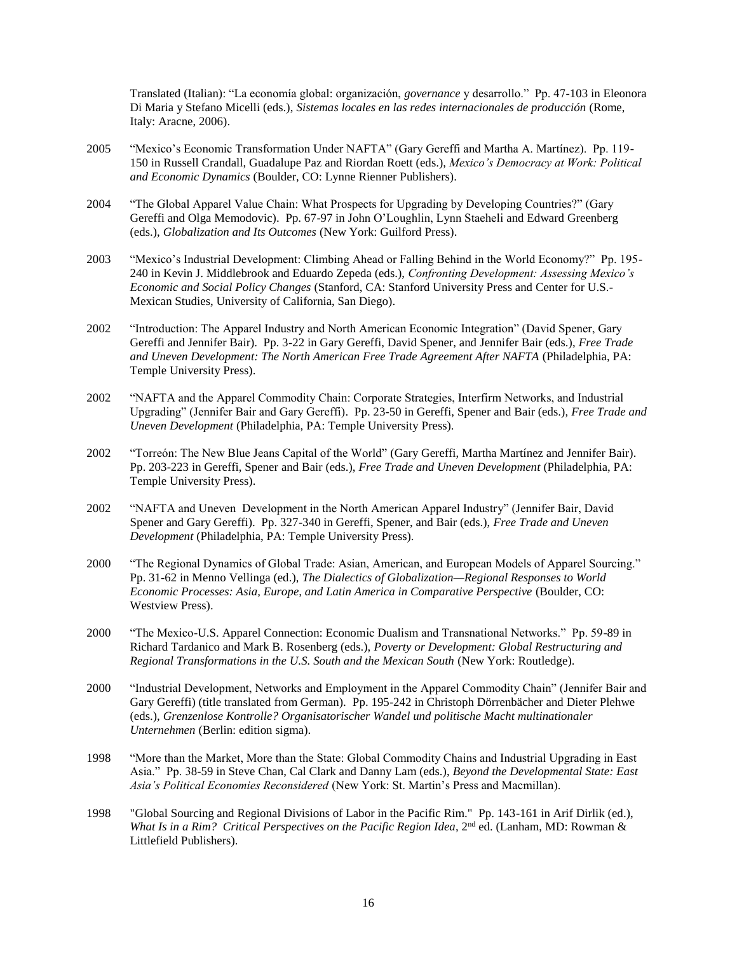Translated (Italian): "La economía global: organización, *governance* y desarrollo." Pp. 47-103 in Eleonora Di Maria y Stefano Micelli (eds.), *Sistemas locales en las redes internacionales de producción* (Rome, Italy: Aracne, 2006).

- 2005 "Mexico's Economic Transformation Under NAFTA" (Gary Gereffi and Martha A. Martínez). Pp. 119- 150 in Russell Crandall, Guadalupe Paz and Riordan Roett (eds.), *Mexico's Democracy at Work: Political and Economic Dynamics* (Boulder, CO: Lynne Rienner Publishers).
- 2004 "The Global Apparel Value Chain: What Prospects for Upgrading by Developing Countries?" (Gary Gereffi and Olga Memodovic). Pp. 67-97 in John O'Loughlin, Lynn Staeheli and Edward Greenberg (eds.), *Globalization and Its Outcomes* (New York: Guilford Press).
- 2003 "Mexico's Industrial Development: Climbing Ahead or Falling Behind in the World Economy?" Pp. 195- 240 in Kevin J. Middlebrook and Eduardo Zepeda (eds.), *Confronting Development: Assessing Mexico's Economic and Social Policy Changes* (Stanford, CA: Stanford University Press and Center for U.S.- Mexican Studies, University of California, San Diego).
- 2002 "Introduction: The Apparel Industry and North American Economic Integration" (David Spener, Gary Gereffi and Jennifer Bair). Pp. 3-22 in Gary Gereffi, David Spener, and Jennifer Bair (eds.), *Free Trade and Uneven Development: The North American Free Trade Agreement After NAFTA* (Philadelphia, PA: Temple University Press).
- 2002 "NAFTA and the Apparel Commodity Chain: Corporate Strategies, Interfirm Networks, and Industrial Upgrading" (Jennifer Bair and Gary Gereffi). Pp. 23-50 in Gereffi, Spener and Bair (eds.), *Free Trade and Uneven Development* (Philadelphia, PA: Temple University Press).
- 2002 "Torreón: The New Blue Jeans Capital of the World" (Gary Gereffi, Martha Martínez and Jennifer Bair). Pp. 203-223 in Gereffi, Spener and Bair (eds.), *Free Trade and Uneven Development* (Philadelphia, PA: Temple University Press).
- 2002 "NAFTA and Uneven Development in the North American Apparel Industry" (Jennifer Bair, David Spener and Gary Gereffi). Pp. 327-340 in Gereffi, Spener, and Bair (eds.), *Free Trade and Uneven Development* (Philadelphia, PA: Temple University Press).
- 2000 "The Regional Dynamics of Global Trade: Asian, American, and European Models of Apparel Sourcing." Pp. 31-62 in Menno Vellinga (ed.), *The Dialectics of Globalization—Regional Responses to World Economic Processes: Asia, Europe, and Latin America in Comparative Perspective* (Boulder, CO: Westview Press).
- 2000 "The Mexico-U.S. Apparel Connection: Economic Dualism and Transnational Networks." Pp. 59-89 in Richard Tardanico and Mark B. Rosenberg (eds.), *Poverty or Development: Global Restructuring and Regional Transformations in the U.S. South and the Mexican South* (New York: Routledge).
- 2000 "Industrial Development, Networks and Employment in the Apparel Commodity Chain" (Jennifer Bair and Gary Gereffi) (title translated from German). Pp. 195-242 in Christoph Dörrenbächer and Dieter Plehwe (eds.), *Grenzenlose Kontrolle? Organisatorischer Wandel und politische Macht multinationaler Unternehmen* (Berlin: edition sigma).
- 1998 "More than the Market, More than the State: Global Commodity Chains and Industrial Upgrading in East Asia." Pp. 38-59 in Steve Chan, Cal Clark and Danny Lam (eds.), *Beyond the Developmental State: East Asia's Political Economies Reconsidered* (New York: St. Martin's Press and Macmillan).
- 1998 "Global Sourcing and Regional Divisions of Labor in the Pacific Rim." Pp. 143-161 in Arif Dirlik (ed.), *What Is in a Rim? Critical Perspectives on the Pacific Region Idea,* 2<sup>nd</sup> ed. (Lanham, MD: Rowman & Littlefield Publishers).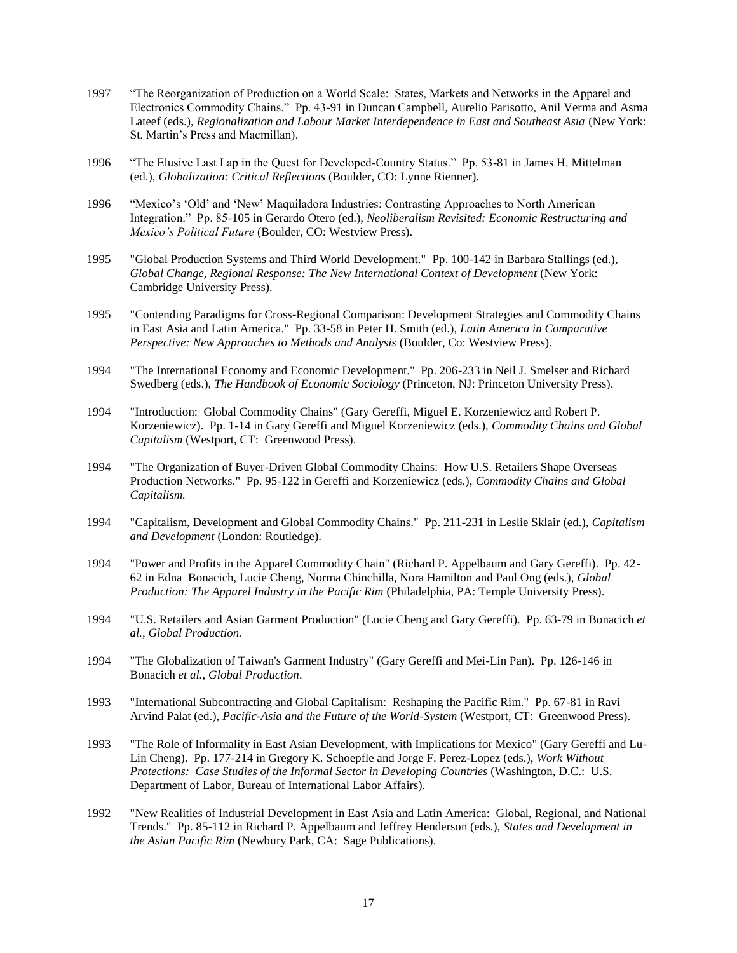- 1997 "The Reorganization of Production on a World Scale: States, Markets and Networks in the Apparel and Electronics Commodity Chains." Pp. 43-91 in Duncan Campbell, Aurelio Parisotto, Anil Verma and Asma Lateef (eds.), *Regionalization and Labour Market Interdependence in East and Southeast Asia* (New York: St. Martin's Press and Macmillan).
- 1996 "The Elusive Last Lap in the Quest for Developed-Country Status." Pp. 53-81 in James H. Mittelman (ed.), *Globalization: Critical Reflections* (Boulder, CO: Lynne Rienner).
- 1996 "Mexico's 'Old' and 'New' Maquiladora Industries: Contrasting Approaches to North American Integration." Pp. 85-105 in Gerardo Otero (ed.), *Neoliberalism Revisited: Economic Restructuring and Mexico's Political Future* (Boulder, CO: Westview Press).
- 1995 "Global Production Systems and Third World Development." Pp. 100-142 in Barbara Stallings (ed.), *Global Change, Regional Response: The New International Context of Development* (New York: Cambridge University Press).
- 1995 "Contending Paradigms for Cross-Regional Comparison: Development Strategies and Commodity Chains in East Asia and Latin America." Pp. 33-58 in Peter H. Smith (ed.), *Latin America in Comparative Perspective: New Approaches to Methods and Analysis* (Boulder, Co: Westview Press).
- 1994 "The International Economy and Economic Development." Pp. 206-233 in Neil J. Smelser and Richard Swedberg (eds.), *The Handbook of Economic Sociology* (Princeton, NJ: Princeton University Press).
- 1994 "Introduction: Global Commodity Chains" (Gary Gereffi, Miguel E. Korzeniewicz and Robert P. Korzeniewicz). Pp. 1-14 in Gary Gereffi and Miguel Korzeniewicz (eds.), *Commodity Chains and Global Capitalism* (Westport, CT: Greenwood Press).
- 1994 "The Organization of Buyer-Driven Global Commodity Chains: How U.S. Retailers Shape Overseas Production Networks." Pp. 95-122 in Gereffi and Korzeniewicz (eds.), *Commodity Chains and Global Capitalism.*
- 1994 "Capitalism, Development and Global Commodity Chains." Pp. 211-231 in Leslie Sklair (ed.), *Capitalism and Development* (London: Routledge).
- 1994 "Power and Profits in the Apparel Commodity Chain" (Richard P. Appelbaum and Gary Gereffi). Pp. 42- 62 in Edna Bonacich, Lucie Cheng, Norma Chinchilla, Nora Hamilton and Paul Ong (eds.), *Global Production: The Apparel Industry in the Pacific Rim* (Philadelphia, PA: Temple University Press).
- 1994 "U.S. Retailers and Asian Garment Production" (Lucie Cheng and Gary Gereffi). Pp. 63-79 in Bonacich *et al., Global Production.*
- 1994 "The Globalization of Taiwan's Garment Industry" (Gary Gereffi and Mei-Lin Pan). Pp. 126-146 in Bonacich *et al.*, *Global Production*.
- 1993 "International Subcontracting and Global Capitalism: Reshaping the Pacific Rim." Pp. 67-81 in Ravi Arvind Palat (ed.), *Pacific-Asia and the Future of the World-System* (Westport, CT: Greenwood Press).
- 1993 "The Role of Informality in East Asian Development, with Implications for Mexico" (Gary Gereffi and Lu-Lin Cheng). Pp. 177-214 in Gregory K. Schoepfle and Jorge F. Perez-Lopez (eds.), *Work Without Protections: Case Studies of the Informal Sector in Developing Countries* (Washington, D.C.: U.S. Department of Labor, Bureau of International Labor Affairs).
- 1992 "New Realities of Industrial Development in East Asia and Latin America: Global, Regional, and National Trends." Pp. 85-112 in Richard P. Appelbaum and Jeffrey Henderson (eds.), *States and Development in the Asian Pacific Rim* (Newbury Park, CA: Sage Publications).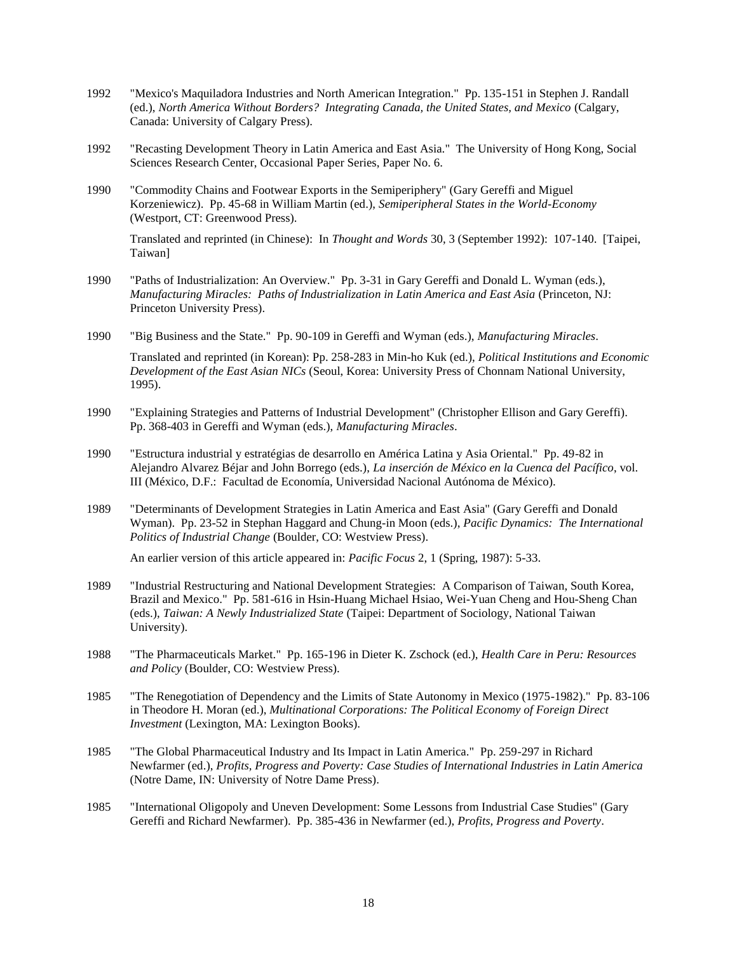- 1992 "Mexico's Maquiladora Industries and North American Integration." Pp. 135-151 in Stephen J. Randall (ed.), *North America Without Borders? Integrating Canada, the United States, and Mexico* (Calgary, Canada: University of Calgary Press).
- 1992 "Recasting Development Theory in Latin America and East Asia." The University of Hong Kong, Social Sciences Research Center, Occasional Paper Series, Paper No. 6.
- 1990 "Commodity Chains and Footwear Exports in the Semiperiphery" (Gary Gereffi and Miguel Korzeniewicz). Pp. 45-68 in William Martin (ed.), *Semiperipheral States in the World-Economy* (Westport, CT: Greenwood Press).

Translated and reprinted (in Chinese): In *Thought and Words* 30, 3 (September 1992): 107-140. [Taipei, Taiwan]

- 1990 "Paths of Industrialization: An Overview." Pp. 3-31 in Gary Gereffi and Donald L. Wyman (eds.), *Manufacturing Miracles: Paths of Industrialization in Latin America and East Asia* (Princeton, NJ: Princeton University Press).
- 1990 "Big Business and the State." Pp. 90-109 in Gereffi and Wyman (eds.), *Manufacturing Miracles*.

Translated and reprinted (in Korean): Pp. 258-283 in Min-ho Kuk (ed.), *Political Institutions and Economic Development of the East Asian NICs* (Seoul, Korea: University Press of Chonnam National University, 1995).

- 1990 "Explaining Strategies and Patterns of Industrial Development" (Christopher Ellison and Gary Gereffi). Pp. 368-403 in Gereffi and Wyman (eds.), *Manufacturing Miracles*.
- 1990 "Estructura industrial y estratégias de desarrollo en América Latina y Asia Oriental." Pp. 49-82 in Alejandro Alvarez Béjar and John Borrego (eds.), *La inserción de México en la Cuenca del Pacífico*, vol. III (México, D.F.: Facultad de Economía, Universidad Nacional Autónoma de México).
- 1989 "Determinants of Development Strategies in Latin America and East Asia" (Gary Gereffi and Donald Wyman). Pp. 23-52 in Stephan Haggard and Chung-in Moon (eds.), *Pacific Dynamics: The International Politics of Industrial Change* (Boulder, CO: Westview Press).

An earlier version of this article appeared in: *Pacific Focus* 2, 1 (Spring, 1987): 5-33.

- 1989 "Industrial Restructuring and National Development Strategies: A Comparison of Taiwan, South Korea, Brazil and Mexico." Pp. 581-616 in Hsin-Huang Michael Hsiao, Wei-Yuan Cheng and Hou-Sheng Chan (eds.), *Taiwan: A Newly Industrialized State* (Taipei: Department of Sociology, National Taiwan University).
- 1988 "The Pharmaceuticals Market." Pp. 165-196 in Dieter K. Zschock (ed.), *Health Care in Peru: Resources and Policy* (Boulder, CO: Westview Press).
- 1985 "The Renegotiation of Dependency and the Limits of State Autonomy in Mexico (1975-1982)." Pp. 83-106 in Theodore H. Moran (ed.), *Multinational Corporations: The Political Economy of Foreign Direct Investment* (Lexington, MA: Lexington Books).
- 1985 "The Global Pharmaceutical Industry and Its Impact in Latin America." Pp. 259-297 in Richard Newfarmer (ed.), *Profits, Progress and Poverty: Case Studies of International Industries in Latin America* (Notre Dame, IN: University of Notre Dame Press).
- 1985 "International Oligopoly and Uneven Development: Some Lessons from Industrial Case Studies" (Gary Gereffi and Richard Newfarmer). Pp. 385-436 in Newfarmer (ed.), *Profits, Progress and Poverty*.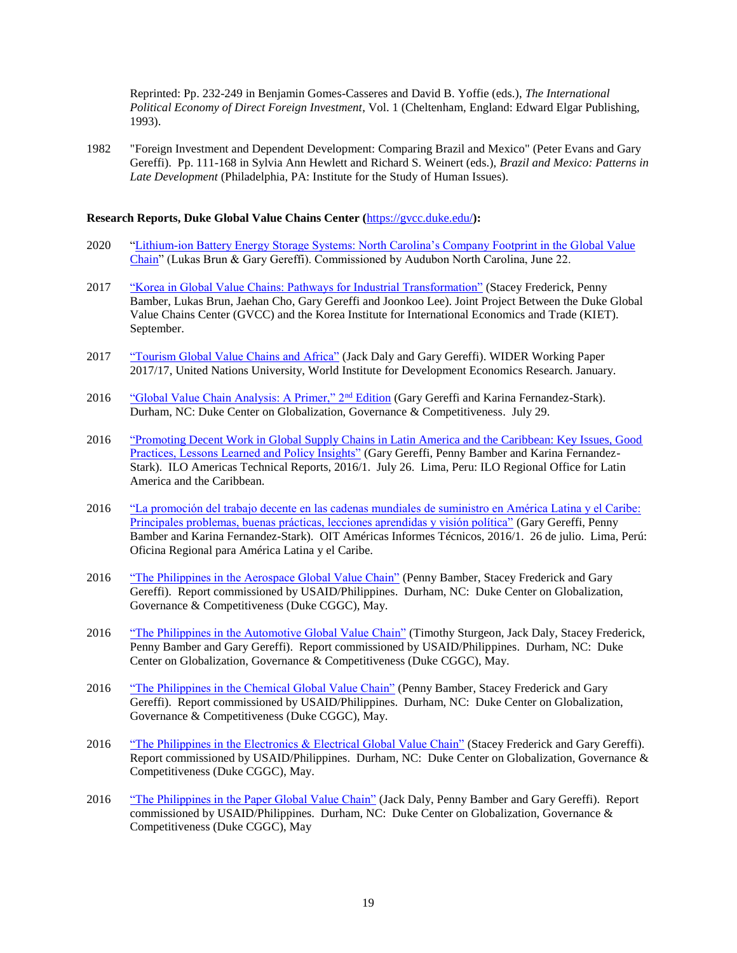Reprinted: Pp. 232-249 in Benjamin Gomes-Casseres and David B. Yoffie (eds.), *The International Political Economy of Direct Foreign Investment*, Vol. 1 (Cheltenham, England: Edward Elgar Publishing, 1993).

1982 "Foreign Investment and Dependent Development: Comparing Brazil and Mexico" (Peter Evans and Gary Gereffi). Pp. 111-168 in Sylvia Ann Hewlett and Richard S. Weinert (eds.), *Brazil and Mexico: Patterns in Late Development* (Philadelphia, PA: Institute for the Study of Human Issues).

## **Research Reports, Duke Global Value Chains Center (**<https://gvcc.duke.edu/>**):**

- 2020 ["Lithium-ion Battery Energy Storage Systems: North Carolina's Company Footprint in the Global Value](https://www.researchgate.net/publication/344545505_Lithium-ion_Battery_Energy_Storage_Systems_North_Carolina)  [Chain"](https://www.researchgate.net/publication/344545505_Lithium-ion_Battery_Energy_Storage_Systems_North_Carolina) (Lukas Brun & Gary Gereffi). Commissioned by Audubon North Carolina, June 22.
- 2017 ["Korea in Global Value Chains: Pathways for Industrial Transformation"](https://gvcc.duke.edu/cggclisting/korea-in-global-value-chains-pathways-for-industrial-transformation/) (Stacey Frederick, Penny Bamber, Lukas Brun, Jaehan Cho, Gary Gereffi and Joonkoo Lee). Joint Project Between the Duke Global Value Chains Center (GVCC) and the Korea Institute for International Economics and Trade (KIET). September.
- 2017 ["Tourism Global Value Chains and Africa"](https://www.wider.unu.edu/publication/tourism-global-value-chains-and-africa) (Jack Daly and Gary Gereffi). WIDER Working Paper 2017/17, United Nations University, World Institute for Development Economics Research. January.
- 2016 ["Global Value Chain Analysis: A Primer," 2](https://gvcc.duke.edu/wp-content/uploads/Duke_CGGC_Global_Value_Chain_GVC_Analysis_Primer_2nd_Ed_2016.pdf)<sup>nd</sup> Edition (Gary Gereffi and Karina Fernandez-Stark). Durham, NC: Duke Center on Globalization, Governance & Competitiveness. July 29.
- 2016 "Promoting Decent Work in Global Supply Chains in Latin America and the Caribbean: Key Issues, Good [Practices, Lessons Learned and Policy Insights"](http://www.ilo.org/wcmsp5/groups/public/---americas/---ro-lima/documents/publication/wcms_503754.pdf) (Gary Gereffi, Penny Bamber and Karina Fernandez-Stark). ILO Americas Technical Reports, 2016/1. July 26. Lima, Peru: ILO Regional Office for Latin America and the Caribbean.
- 2016 ["La promoción del trabajo decente en las cadenas mundiales de suministro en América Latina y el Caribe:](http://www.ilo.org/wcmsp5/groups/public/---americas/---ro-lima/documents/publication/wcms_503753.pdf)  [Principales problemas, buenas prácticas, lecciones aprendidas y visión política"](http://www.ilo.org/wcmsp5/groups/public/---americas/---ro-lima/documents/publication/wcms_503753.pdf) (Gary Gereffi, Penny Bamber and Karina Fernandez-Stark). OIT Américas Informes Técnicos, 2016/1. 26 de julio. Lima, Perú: Oficina Regional para América Latina y el Caribe.
- 2016 ["The Philippines in the Aerospace Global Value Chain"](http://www.cggc.duke.edu/pdfs/2016_Philippines_Aerospace_Global_Value_Chain.pdf) (Penny Bamber, Stacey Frederick and Gary Gereffi). Report commissioned by USAID/Philippines. Durham, NC: Duke Center on Globalization, Governance & Competitiveness (Duke CGGC), May.
- 2016 ["The Philippines in the Automotive Global Value Chain"](http://www.cggc.duke.edu/pdfs/2016_Philippines_Automotive_Global_Value_Chain.pdf) (Timothy Sturgeon, Jack Daly, Stacey Frederick, Penny Bamber and Gary Gereffi). Report commissioned by USAID/Philippines. Durham, NC: Duke Center on Globalization, Governance & Competitiveness (Duke CGGC), May.
- 2016 ["The Philippines in the Chemical Global Value Chain"](http://www.cggc.duke.edu/pdfs/2016_Philippines_Chemical_Global_Value_Chain.pdf) (Penny Bamber, Stacey Frederick and Gary Gereffi). Report commissioned by USAID/Philippines. Durham, NC: Duke Center on Globalization, Governance & Competitiveness (Duke CGGC), May.
- 2016 ["The Philippines in the Electronics & Electrical Global Value Chain"](http://www.cggc.duke.edu/pdfs/2016_Philippines_Electronics_Electrical_Global_Value_Chain.pdf) (Stacey Frederick and Gary Gereffi). Report commissioned by USAID/Philippines. Durham, NC: Duke Center on Globalization, Governance & Competitiveness (Duke CGGC), May.
- 2016 ["The Philippines in the Paper Global Value Chain"](http://www.cggc.duke.edu/pdfs/2016_Philippines_Paper_Global_Value_Chain.pdf) (Jack Daly, Penny Bamber and Gary Gereffi). Report commissioned by USAID/Philippines. Durham, NC: Duke Center on Globalization, Governance & Competitiveness (Duke CGGC), May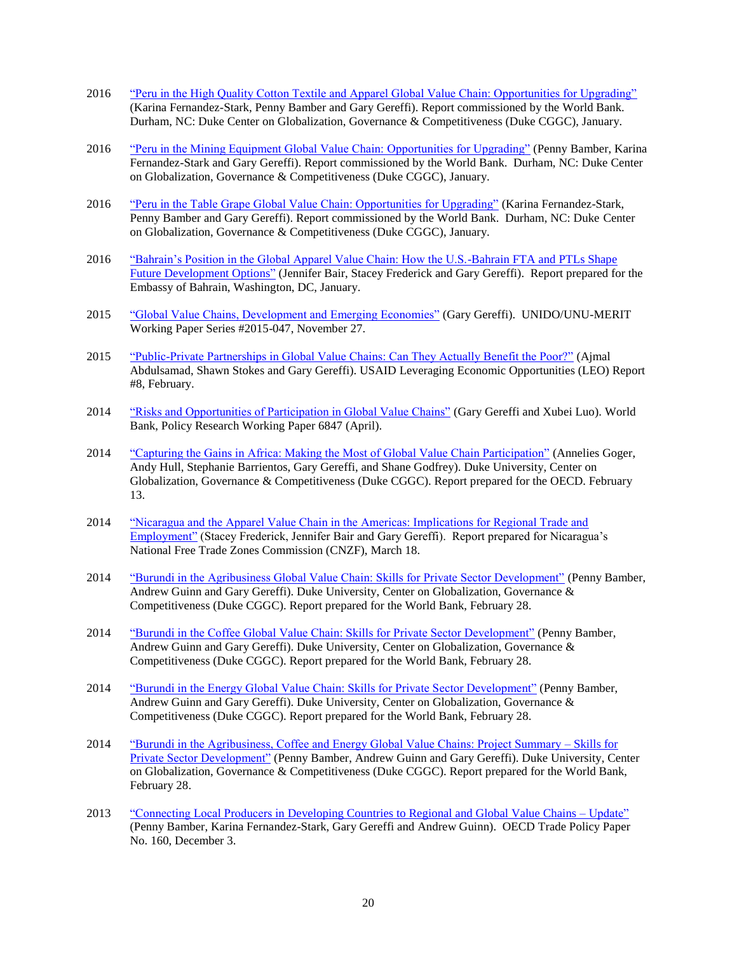- 2016 ["Peru in the High Quality Cotton Textile and Apparel Global Value Chain: Opportunities for Upgrading"](http://www.cggc.duke.edu/pdfs/2016%20Jan%20Duke%20CGGC%20High%20Quality%20Cotton%20GVC%20Report%20Peru.pdf) (Karina Fernandez-Stark, Penny Bamber and Gary Gereffi). Report commissioned by the World Bank. Durham, NC: Duke Center on Globalization, Governance & Competitiveness (Duke CGGC), January.
- 2016 ["Peru in the Mining Equipment Global Value Chain: Opportunities for Upgrading"](http://www.cggc.duke.edu/pdfs/2016%20Duke%20CGGC%20Mining%20Equipment%20GVC%20Report%20Peru.pdf) (Penny Bamber, Karina Fernandez-Stark and Gary Gereffi). Report commissioned by the World Bank. Durham, NC: Duke Center on Globalization, Governance & Competitiveness (Duke CGGC), January.
- 2016 ["Peru in the Table Grape Global Value Chain: Opportunities for Upgrading"](http://www.cggc.duke.edu/pdfs/2016%20Duke%20CGGC%20Grape%20GVC%20Report%20Peru.pdf) (Karina Fernandez-Stark, Penny Bamber and Gary Gereffi). Report commissioned by the World Bank. Durham, NC: Duke Center on Globalization, Governance & Competitiveness (Duke CGGC), January.
- 2016 ["Bahrain's Position in the Global Apparel Value Chain: How the U.S.-Bahrain FTA](http://www.cggc.duke.edu/pdfs/2016-01-14_Bahrain_TPLs_Apparel_Value_Chain.pdf) and PTLs Shape [Future Development Options"](http://www.cggc.duke.edu/pdfs/2016-01-14_Bahrain_TPLs_Apparel_Value_Chain.pdf) (Jennifer Bair, Stacey Frederick and Gary Gereffi). Report prepared for the Embassy of Bahrain, Washington, DC, January.
- 2015 ["Global Value Chains, Development and Emerging Economies"](http://www.merit.unu.edu/publications/working-papers/abstract/?id=5885) (Gary Gereffi). UNIDO/UNU-MERIT Working Paper Series #2015-047, November 27.
- 2015 ["Public-Private Partnerships in Global Value Chains: Can They Actually Benefit the Poor?"](https://www.microlinks.org/sites/default/files/resource/files/Public-Private_Partnerships_in_Global_Value_Chains_508_compliant.pdf) (Ajmal Abdulsamad, Shawn Stokes and Gary Gereffi). USAID Leveraging Economic Opportunities (LEO) Report #8, February.
- 2014 ["Risks and Opportunities of Participation in Global Value Chains"](http://www-wds.worldbank.org/external/default/WDSContentServer/IW3P/IB/2014/04/28/000158349_20140428160610/Rendered/PDF/WPS6847.pdf) (Gary Gereffi and Xubei Luo). World Bank, Policy Research Working Paper 6847 (April).
- 2014 ["Capturing the Gains in Africa: Making the Most of Global Value Chain Participation"](http://www.capturingthegains.org/pdf/Capturing-the-gains-in-Africa-2014.pdf) (Annelies Goger, Andy Hull, Stephanie Barrientos, Gary Gereffi, and Shane Godfrey). Duke University, Center on Globalization, Governance & Competitiveness (Duke CGGC). Report prepared for the OECD. February 13.
- 2014 ["Nicaragua and the Apparel Value Chain in the Americas: Implications for Regional Trade and](https://gvcc.duke.edu/wp-content/uploads/2014-03-25a_DukeCGGC_Nicaragua_apparel_report.pdf)  [Employment"](https://gvcc.duke.edu/wp-content/uploads/2014-03-25a_DukeCGGC_Nicaragua_apparel_report.pdf) (Stacey Frederick, Jennifer Bair and Gary Gereffi). Report prepared for Nicaragua's National Free Trade Zones Commission (CNZF), March 18.
- 2014 "Burundi in the [Agribusiness Global Value Chain: Skills for Private Sector Development"](http://www.cggc.duke.edu/pdfs/2014_02_28_Duke_CGGC_BurundiAgribusinessGVC.pdf) (Penny Bamber, Andrew Guinn and Gary Gereffi). Duke University, Center on Globalization, Governance & Competitiveness (Duke CGGC). Report prepared for the World Bank, February 28.
- 2014 ["Burundi in the Coffee Global Value Chain: Skills for Private Sector Development"](http://www.cggc.duke.edu/pdfs/2014_02_28_Duke_CGGC_Burundi_CoffeeGVC.pdf) (Penny Bamber, Andrew Guinn and Gary Gereffi). Duke University, Center on Globalization, Governance & Competitiveness (Duke CGGC). Report prepared for the World Bank, February 28.
- 2014 ["Burundi in the Energy Global Value Chain: Skills for Private Sector Development"](http://www.cggc.duke.edu/pdfs/2014_02_28_Duke_CGGC_Burundi_EnergyGVC.pdf) (Penny Bamber, Andrew Guinn and Gary Gereffi). Duke University, Center on Globalization, Governance & Competitiveness (Duke CGGC). Report prepared for the World Bank, February 28.
- 2014 ["Burundi in the Agribusiness, Coffee and Energy Global Value Chains: Project Summary –](http://www.cggc.duke.edu/pdfs/2014_02_28_Duke_CGGC_Final_Project_Summary.pdf) Skills for [Private Sector Development"](http://www.cggc.duke.edu/pdfs/2014_02_28_Duke_CGGC_Final_Project_Summary.pdf) (Penny Bamber, Andrew Guinn and Gary Gereffi). Duke University, Center on Globalization, Governance & Competitiveness (Duke CGGC). Report prepared for the World Bank, February 28.
- 2013 ["Connecting Local Producers in Developing Countries to Regional and Global Value Chains –](http://search.oecd.org/officialdocuments/publicdisplaydocumentpdf/?cote=TAD/TC/WP(2013)27/FINAL&docLanguage=En) Update" (Penny Bamber, Karina Fernandez-Stark, Gary Gereffi and Andrew Guinn). OECD Trade Policy Paper No. 160, December 3.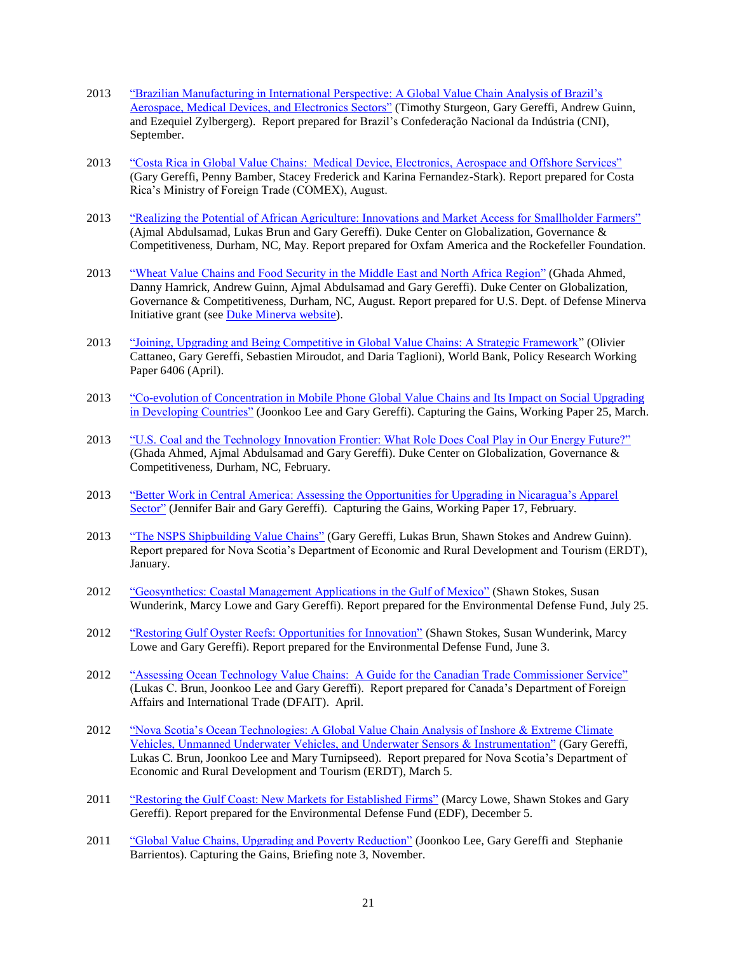- 2013 ["Brazilian Manufacturing in International Perspective: A Global Value Chain Analysis of Brazil's](http://www.cggc.duke.edu/pdfs/CNI_Brazil_GVC_Report_Final_2013-09-05.pdf)  [Aerospace, Medical Devices, and Electronics Sectors"](http://www.cggc.duke.edu/pdfs/CNI_Brazil_GVC_Report_Final_2013-09-05.pdf) (Timothy Sturgeon, Gary Gereffi, Andrew Guinn, and Ezequiel Zylbergerg). Report prepared for Brazil's Confederação Nacional da Indústria (CNI), September.
- 2013 ["Costa Rica in Global Value Chains: Medical Device, Electronics, Aerospace and Offshore Services"](http://www.cggc.duke.edu/gvc/project.php?proj=180) (Gary Gereffi, Penny Bamber, Stacey Frederick and Karina Fernandez-Stark). Report prepared for Costa Rica's Ministry of Foreign Trade (COMEX), August.
- 2013 ["Realizing the Potential of African Agriculture: Innovations and Market Access for Smallholder Farmers"](http://www.cggc.duke.edu/pdfs/AgriculturalInnovations_and_MarketAccess_for%20_Smallholders_in_Africa.pdf) (Ajmal Abdulsamad, Lukas Brun and Gary Gereffi). Duke Center on Globalization, Governance & Competitiveness, Durham, NC, May. Report prepared for Oxfam America and the Rockefeller Foundation.
- 2013 ["Wheat Value Chains and Food Security in the Middle East and North Africa Region"](http://www.cggc.duke.edu/pdfs/2013-08-28_CGGC_Report_Wheat_GVC_and_food_security_in_MENA.pdf) (Ghada Ahmed, Danny Hamrick, Andrew Guinn, Ajmal Abdulsamad and Gary Gereffi). Duke Center on Globalization, Governance & Competitiveness, Durham, NC, August. Report prepared for U.S. Dept. of Defense Minerva Initiative grant (see [Duke Minerva website\)](http://sites.duke.edu/minerva/).
- 2013 ["Joining, Upgrading and Being Competitive in Global Value Chains: A Strategic Framework"](http://documents.worldbank.org/curated/en/254001468336685890/pdf/wps6406.pdf) (Olivier Cattaneo, Gary Gereffi, Sebastien Miroudot, and Daria Taglioni), World Bank, Policy Research Working Paper 6406 (April).
- 2013 ["Co-evolution of Concentration in Mobile Phone Global Value Chains and Its Impact on Social Upgrading](http://www.capturingthegains.org/pdf/ctg-wp-2013-25.pdf)  [in Developing Countries"](http://www.capturingthegains.org/pdf/ctg-wp-2013-25.pdf) (Joonkoo Lee and Gary Gereffi). Capturing the Gains, Working Paper 25, March.
- 2013 ["U.S. Coal and the Technology Innovation Frontier: What Role Does Coal Play in Our Energy Future?"](http://www.cggc.duke.edu/pdfs/2013-03-21_CGGC_Coal_Paper.pdf) (Ghada Ahmed, Ajmal Abdulsamad and Gary Gereffi). Duke Center on Globalization, Governance & Competitiveness, Durham, NC, February.
- 2013 ["Better Work in Central America: Assessing the Opportunities for Upgrading in Nicaragua's Apparel](http://www.capturingthegains.org/pdf/ctg-wp-2013-17.pdf)  [Sector"](http://www.capturingthegains.org/pdf/ctg-wp-2013-17.pdf) (Jennifer Bair and Gary Gereffi). Capturing the Gains, Working Paper 17, February.
- 2013 ["The NSPS Shipbuilding Value Chains"](http://www.cggc.duke.edu/pdfs/NSPS_GVC_Analysis_Jan2013_01282013.pdf) (Gary Gereffi, Lukas Brun, Shawn Stokes and Andrew Guinn). Report prepared for Nova Scotia's Department of Economic and Rural Development and Tourism (ERDT), January.
- 2012 ["Geosynthetics: Coastal Management Applications in the Gulf of Mexico"](http://cggc.duke.edu/environment/gulfcoast/index.php) (Shawn Stokes, Susan Wunderink, Marcy Lowe and Gary Gereffi). Report prepared for the Environmental Defense Fund, July 25.
- 2012 ["Restoring Gulf Oyster Reefs: Opportunities for Innovation"](http://cggc.duke.edu/environment/gulfcoast/index.php) (Shawn Stokes, Susan Wunderink, Marcy Lowe and Gary Gereffi). Report prepared for the Environmental Defense Fund, June 3.
- 2012 ["Assessing Ocean Technology Value Chains: A Guide for the Canadian Trade Commissioner Service"](http://www.cggc.duke.edu/pdfs/2012-04-12_DFAIT%20Accessing%20OT%20GVC.pdf) (Lukas C. Brun, Joonkoo Lee and Gary Gereffi). Report prepared for Canada's Department of Foreign Affairs and International Trade (DFAIT). April.
- 2012 ["Nova Scotia's Ocean Technologies: A Global Value Chain Analysis of Inshore & Extreme Climate](http://www.cggc.duke.edu/pdfs/2012-03-05_Nova%20Scotia%20OT%20Report.pdf)  [Vehicles, Unmanned Underwater Vehicles, and Underwater Sensors & Instrumentation"](http://www.cggc.duke.edu/pdfs/2012-03-05_Nova%20Scotia%20OT%20Report.pdf) (Gary Gereffi, Lukas C. Brun, Joonkoo Lee and Mary Turnipseed). Report prepared for Nova Scotia's Department of Economic and Rural Development and Tourism (ERDT), March 5.
- 2011 ["Restoring the Gulf Coast: New Markets for Established Firms"](http://cggc.duke.edu/environment/gulfcoast/index.php) (Marcy Lowe, Shawn Stokes and Gary Gereffi). Report prepared for the Environmental Defense Fund (EDF), December 5.
- 2011 ["Global Value Chains, Upgrading and Poverty Reduction"](http://www.capturingthegains.org/pdf/ctg_briefing_note_3.pdf) (Joonkoo Lee, Gary Gereffi and Stephanie Barrientos). Capturing the Gains, Briefing note 3, November.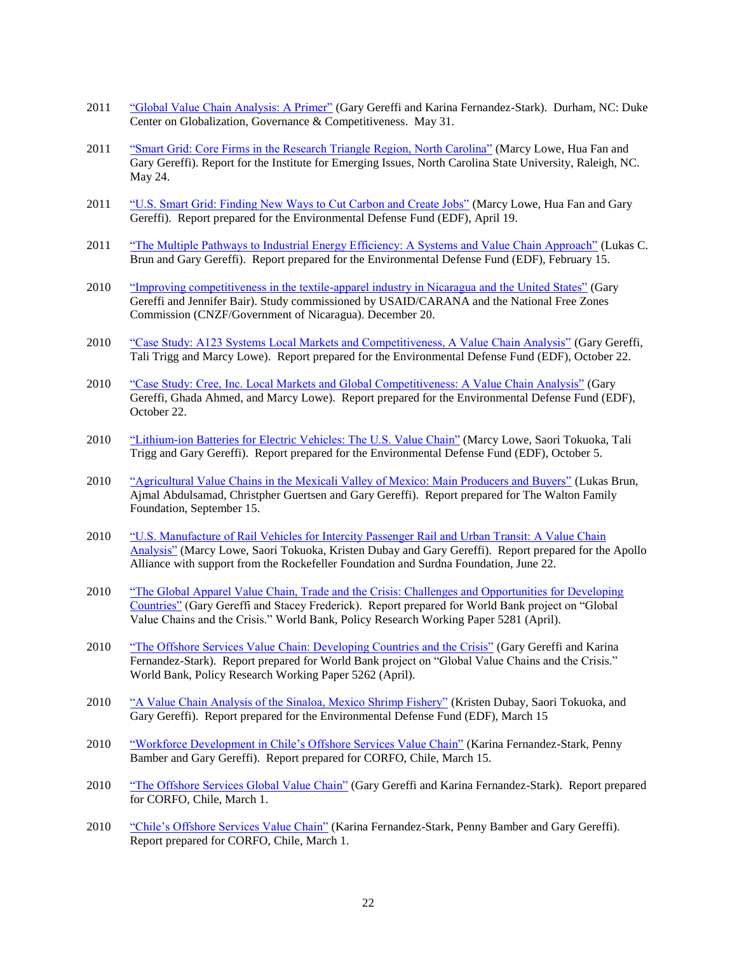- 2011 ["Global Value Chain Analysis: A Primer"](hhttps://gvcc.duke.edu/wp-content/uploads/2011-05-31_GVC_analysis_a_primer.pdf) (Gary Gereffi and Karina Fernandez-Stark). Durham, NC: Duke Center on Globalization, Governance & Competitiveness. May 31.
- 2011 ["Smart Grid: Core Firms in the Research Triangle Region, North Carolina"](http://www.cggc.duke.edu/pdfs/Lowe_Research-Triangle-Smart-Grid_CGGC_05-24-2011.pdf) (Marcy Lowe, Hua Fan and Gary Gereffi). Report for the Institute for Emerging Issues, North Carolina State University, Raleigh, NC. May 24.
- 2011 ["U.S. Smart Grid: Finding New Ways to Cut Carbon and Create Jobs"](http://www.cggc.duke.edu/pdfs/Lowe_US_Smart_Grid_CGGC_04-19-2011.pdf) (Marcy Lowe, Hua Fan and Gary Gereffi). Report prepared for the Environmental Defense Fund (EDF), April 19.
- 2011 ["The Multiple Pathways to Industrial Energy Efficiency: A Systems and Value Chain Approach"](http://www.cggc.duke.edu/pdfs/DukeCGGC_EE-Report_2011-2-15.pdf) (Lukas C. Brun and Gary Gereffi). Report prepared for the Environmental Defense Fund (EDF), February 15.
- 2010 ["Improving competitiveness in the textile-apparel industry in Nicaragua and the United States"](http://www.cggc.duke.edu/pdfs/2010-12-20_Gereffi_Bair_Nicaragua-apparel-report.pdf) (Gary Gereffi and Jennifer Bair). Study commissioned by USAID/CARANA and the National Free Zones Commission (CNZF/Government of Nicaragua). December 20.
- 2010 ["Case Study: A123 Systems Local Markets and Competitiveness, A Value Chain Analysis"](http://www.cggc.duke.edu/pdfs/CGGC_A123_CaseStudy_10-22-10.pdf) (Gary Gereffi, Tali Trigg and Marcy Lowe). Report prepared for the Environmental Defense Fund (EDF), October 22.
- 2010 ["Case Study: Cree, Inc. Local Markets and Global Competitiveness: A Value Chain Analysis"](https://gvcc.duke.edu/wp-content/uploads/CGGC_Cree_CaseStudy_10-22-10.pdf) (Gary Gereffi, Ghada Ahmed, and Marcy Lowe). Report prepared for the Environmental Defense Fund (EDF), October 22.
- 2010 ["Lithium-ion Batteries for Electric Vehicles: The U.S. Value Chain"](https://gvcc.duke.edu/wp-content/uploads/Lowe_Lithium-Ion_Batteries_CGGC_10-05-10_revised.pdf) (Marcy Lowe, Saori Tokuoka, Tali Trigg and Gary Gereffi). Report prepared for the Environmental Defense Fund (EDF), October 5.
- 2010 ["Agricultural Value Chains in the Mexicali Valley of Mexico: Main Producers and Buyers"](http://www.cggc.duke.edu/pdfs/Agricultural-Value-Chains-in-the-Mexicali-Valley-of-Mexico_9-15-2010.pdf) (Lukas Brun, Ajmal Abdulsamad, Christpher Guertsen and Gary Gereffi). Report prepared for The Walton Family Foundation, September 15.
- 2010 ["U.S. Manufacture of Rail Vehicles for Intercity Passenger Rail and Urban Transit: A Value Chain](http://www.cggc.duke.edu/pdfs/U.S._Manufacture_of_Rail_Vehicles_for_Intercity_Passenger_Rail_and_Urban_Transit.pdf)  [Analysis"](http://www.cggc.duke.edu/pdfs/U.S._Manufacture_of_Rail_Vehicles_for_Intercity_Passenger_Rail_and_Urban_Transit.pdf) (Marcy Lowe, Saori Tokuoka, Kristen Dubay and Gary Gereffi). Report prepared for the Apollo Alliance with support from the Rockefeller Foundation and Surdna Foundation, June 22.
- 2010 ["The Global Apparel Value Chain, Trade and the Crisis: Challenges and Opportunities for Developing](https://openknowledge.worldbank.org/bitstream/handle/10986/3769/WPS5281.pdf?sequence=1)  [Countries"](https://openknowledge.worldbank.org/bitstream/handle/10986/3769/WPS5281.pdf?sequence=1) (Gary Gereffi and Stacey Frederick). Report prepared for World Bank project on "Global Value Chains and the Crisis." World Bank, Policy Research Working Paper 5281 (April).
- 2010 ["The Offshore Services Value Chain: Developing Countries and the Crisis"](http://go.worldbank.org/K28XW86T40) (Gary Gereffi and Karina Fernandez-Stark). Report prepared for World Bank project on "Global Value Chains and the Crisis." World Bank, Policy Research Working Paper 5262 (April).
- 2010 ["A Value Chain Analysis of the Sinaloa, Mexico Shrimp Fishery"](http://cggc.duke.edu/environment/CGGC_SinaloaShrimp_Report.pdf) (Kristen Dubay, Saori Tokuoka, and Gary Gereffi). Report prepared for the Environmental Defense Fund (EDF), March 15
- 2010 ["Workforce Development in Chile's Offshore Services Value Chain"](http://www.cggc.duke.edu/pdfs/CGGC-CORFO_Workforce_Development_in_Chiles_Offshore_Services_Value_Chain_March_15_2010.pdf) (Karina Fernandez-Stark, Penny Bamber and Gary Gereffi). Report prepared for CORFO, Chile, March 15.
- 2010 ["The Offshore Services Global Value Chain"](http://www.cggc.duke.edu/pdfs/CGGC-CORFO_The_Offshore_Services_Global_Value_Chain_March_1_2010.pdf) (Gary Gereffi and Karina Fernandez-Stark). Report prepared for CORFO, Chile, March 1.
- 2010 ["Chile's Offshore Services Value Chain"](http://www.cggc.duke.edu/pdfs/CGGC-CORFO_Chiles_Offshore_Services_Value_Chain_March_1_2010.pdf) (Karina Fernandez-Stark, Penny Bamber and Gary Gereffi). Report prepared for CORFO, Chile, March 1.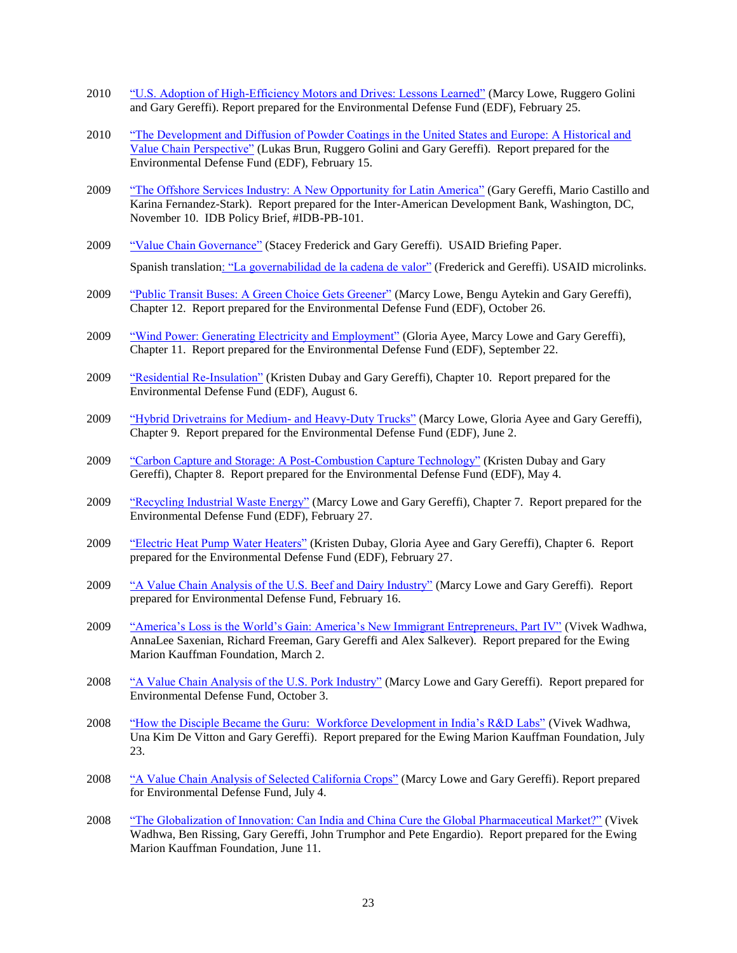- 2010 ["U.S. Adoption of High-Efficiency Motors and Drives: Lessons Learned"](https://gvcc.duke.edu/wp-content/uploads/CGGC-Motor_and_Drives_Report_Feb_25_2010.pdf) (Marcy Lowe, Ruggero Golini and Gary Gereffi). Report prepared for the Environmental Defense Fund (EDF), February 25.
- 2010 "The Development and Diffusion of Powder Coatings in the United States and Europe: A Historical and [Value Chain Perspective"](https://gvcc.duke.edu/wp-content/uploads/Brun_Golini_Gereffi_2010_Powder_Coating_Adoption.pdf) (Lukas Brun, Ruggero Golini and Gary Gereffi). Report prepared for the Environmental Defense Fund (EDF), February 15.
- 2009 ["The Offshore Services Industry: A New Opportunity for Latin America"](http://idbdocs.iadb.org/wsdocs/getdocument.aspx?docnum=35030707) (Gary Gereffi, Mario Castillo and Karina Fernandez-Stark). Report prepared for the Inter-American Development Bank, Washington, DC, November 10. IDB Policy Brief, #IDB-PB-101.
- 2009 ["Value Chain Governance"](https://www.microlinks.org/library/value-chain-governance-briefing-paper) (Stacey Frederick and Gary Gereffi). USAID Briefing Paper. Spanish translatio[n: "La governabilidad de la cadena de valor"](http://microlinks.kdid.org/node/2261) (Frederick and Gereffi). USAID microlinks.
- 2009 ["Public Transit Buses: A Green Choice Gets Greener"](https://gvcc.duke.edu/wp-content/uploads/greeneconomy_Ch12_TransitBus.pdf) (Marcy Lowe, Bengu Aytekin and Gary Gereffi), Chapter 12. Report prepared for the Environmental Defense Fund (EDF), October 26.
- 2009 ["Wind Power: Generating Electricity and Employment"](https://gvcc.duke.edu/wp-content/uploads/greeneconomy_Ch11_WindPower.pdf) (Gloria Ayee, Marcy Lowe and Gary Gereffi), Chapter 11. Report prepared for the Environmental Defense Fund (EDF), September 22.
- 2009 ["Residential Re-Insulation"](https://gvcc.duke.edu/wp-content/uploads/greeneconomy_Ch10_ResidentialReinsulation.pdf) (Kristen Dubay and Gary Gereffi), Chapter 10. Report prepared for the Environmental Defense Fund (EDF), August 6.
- 2009 ["Hybrid Drivetrains for Medium-](https://gvcc.duke.edu/wp-content/uploads/greeneconomy_Ch9_HybridDrivetrainsforTrucks-1.pdf) and Heavy-Duty Trucks" (Marcy Lowe, Gloria Ayee and Gary Gereffi), Chapter 9. Report prepared for the Environmental Defense Fund (EDF), June 2.
- 2009 ["Carbon Capture and Storage: A Post-Combustion Capture Technology"](https://gvcc.duke.edu/wp-content/uploads/greeneconomy_Ch8_CarbonCaptureStorage-2.pdf) (Kristen Dubay and Gary Gereffi), Chapter 8. Report prepared for the Environmental Defense Fund (EDF), May 4.
- 2009 ["Recycling Industrial Waste Energy"](https://gvcc.duke.edu/wp-content/uploads/greeneconomy_Ch7_RecyclingIndustrialWasteEnergy.pdf) (Marcy Lowe and Gary Gereffi), Chapter 7. Report prepared for the Environmental Defense Fund (EDF), February 27.
- 2009 ["Electric Heat Pump Water Heaters"](https://gvcc.duke.edu/wp-content/uploads/greeneconomy_Ch6_HeatPumpWaterHeaters.pdf) (Kristen Dubay, Gloria Ayee and Gary Gereffi), Chapter 6. Report prepared for the Environmental Defense Fund (EDF), February 27.
- 2009 "<u>["A Value Chain Analysis of the U.S. Beef and Dairy Industry"](https://gvcc.duke.edu/wp-content/uploads/CGGC_BeefDairyReport_2-16-09-1.pdf)</u> (Marcy Lowe and Gary Gereffi). Report prepared for Environmental Defense Fund, February 16.
- 2009 ["America's Loss is the World's Gain: America's New Immigrant Entrepreneurs, Part IV"](http://papers.ssrn.com/sol3/papers.cfm?abstract_id=1348616) (Vivek Wadhwa, AnnaLee Saxenian, Richard Freeman, Gary Gereffi and Alex Salkever). Report prepared for the Ewing Marion Kauffman Foundation, March 2.
- 2008 ["A Value Chain Analysis of the U.S. Pork Industry"](https://gvcc.duke.edu/wp-content/uploads/CGGC_PorkIndustryReport_10-3-08.pdf) (Marcy Lowe and Gary Gereffi). Report prepared for Environmental Defense Fund, October 3.
- 2008 ["How the Disciple Became the Guru: Workforce Development in India's R&D Labs"](http://papers.ssrn.com/sol3/papers.cfm?abstract_id=1170049) (Vivek Wadhwa, Una Kim De Vitton and Gary Gereffi). Report prepared for the Ewing Marion Kauffman Foundation, July 23.
- 2008 ["A Value Chain Analysis of Selected California Crops"](https://gvcc.duke.edu/wp-content/uploads/CGGC_CACropsReport_7-4-08.pdf) (Marcy Lowe and Gary Gereffi). Report prepared for Environmental Defense Fund, July 4.
- 2008 ["The Globalization of Innovation: Can India and China Cure the Global Pharmaceutical Market?"](http://papers.ssrn.com/sol3/papers.cfm?abstract_id=1143472) (Vivek Wadhwa, Ben Rissing, Gary Gereffi, John Trumphor and Pete Engardio). Report prepared for the Ewing Marion Kauffman Foundation, June 11.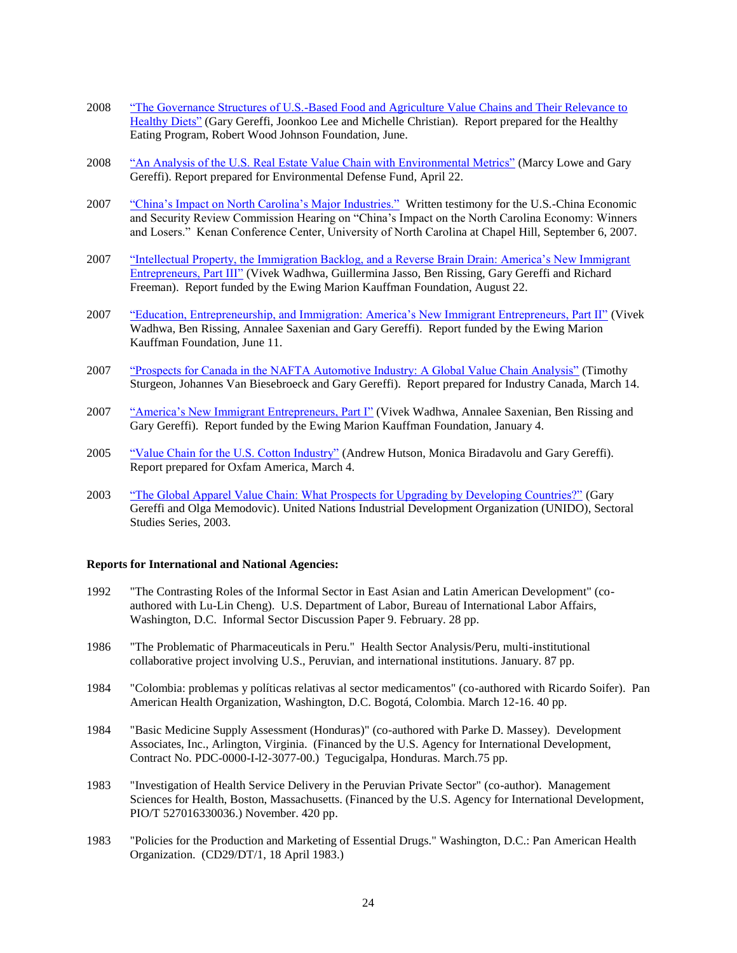- 2008 ["The Governance Structures of U.S.-Based Food and Agriculture Value Chains and Their Relevance to](http://cggc.duke.edu/pdfs/GlobalHealth/Gereffi_Lee_Christian_RWJFpaper_17June2008.pdf)  [Healthy Diets"](http://cggc.duke.edu/pdfs/GlobalHealth/Gereffi_Lee_Christian_RWJFpaper_17June2008.pdf) (Gary Gereffi, Joonkoo Lee and Michelle Christian). Report prepared for the Healthy Eating Program, Robert Wood Johnson Foundation, June.
- 2008 ["An Analysis of the U.S. Real Estate Value Chain with Environmental Metrics"](https://gvcc.duke.edu/wp-content/uploads/CGGC_RealEstateReport_4-22-08.pdf) (Marcy Lowe and Gary Gereffi). Report prepared for Environmental Defense Fund, April 22.
- 2007 ["China's Impact on North Carolina's Major Industries."](http://www.uscc.gov/hearings/2007hearings/hr07_09_06.php) Written testimony for the U.S.-China Economic and Security Review Commission Hearing on "China's Impact on the North Carolina Economy: Winners and Losers." Kenan Conference Center, University of North Carolina at Chapel Hill, September 6, 2007.
- 2007 ["Intellectual Property, the Immigration Backlog, and a Reverse Brain Drain: America's New Immigrant](http://papers.ssrn.com/sol3/papers.cfm?abstract_id=1008366)  [Entrepreneurs, Part III"](http://papers.ssrn.com/sol3/papers.cfm?abstract_id=1008366) (Vivek Wadhwa, Guillermina Jasso, Ben Rissing, Gary Gereffi and Richard Freeman). Report funded by the Ewing Marion Kauffman Foundation, August 22.
- 2007 ["Education, Entrepreneurship, and Immigration: America's New Immigrant Entrepreneurs, Part II"](http://papers.ssrn.com/sol3/papers.cfm?abstract_id=991327) (Vivek Wadhwa, Ben Rissing, Annalee Saxenian and Gary Gereffi). Report funded by the Ewing Marion Kauffman Foundation, June 11.
- 2007 ["Prospects for Canada in the NAFTA Automotive Industry: A Global Value Chain Analysis"](http://www.cggc.duke.edu/pdfs/Industry%20Canada%20auto%20GVC_final%20draft_03-14-07.pdf) (Timothy Sturgeon, Johannes Van Biesebroeck and Gary Gereffi). Report prepared for Industry Canada, March 14.
- 2007 ["America's New Immigrant Entrepreneurs, Part I"](http://papers.ssrn.com/sol3/papers.cfm?abstract_id=990152) (Vivek Wadhwa, Annalee Saxenian, Ben Rissing and Gary Gereffi). Report funded by the Ewing Marion Kauffman Foundation, January 4.
- 2005 ["Value Chain for the U.S. Cotton Industry"](http://www.unc.edu/~hutson/oxfamamerica_cotton_vc%20_combined%20documentv3(8march05).pdf) (Andrew Hutson, Monica Biradavolu and Gary Gereffi). Report prepared for Oxfam America, March 4.
- 2003 ["The Global Apparel Value Chain: What Prospects for Upgrading by Developing Countries?"](http://www.unido.org/index.php?id=o12770) (Gary Gereffi and Olga Memodovic). United Nations Industrial Development Organization (UNIDO), Sectoral Studies Series, 2003.

### **Reports for International and National Agencies:**

- 1992 "The Contrasting Roles of the Informal Sector in East Asian and Latin American Development" (coauthored with Lu-Lin Cheng). U.S. Department of Labor, Bureau of International Labor Affairs, Washington, D.C. Informal Sector Discussion Paper 9. February. 28 pp.
- 1986 "The Problematic of Pharmaceuticals in Peru." Health Sector Analysis/Peru, multi-institutional collaborative project involving U.S., Peruvian, and international institutions. January. 87 pp.
- 1984 "Colombia: problemas y políticas relativas al sector medicamentos" (co-authored with Ricardo Soifer). Pan American Health Organization, Washington, D.C. Bogotá, Colombia. March 12-16. 40 pp.
- 1984 "Basic Medicine Supply Assessment (Honduras)" (co-authored with Parke D. Massey). Development Associates, Inc., Arlington, Virginia. (Financed by the U.S. Agency for International Development, Contract No. PDC-0000-I-l2-3077-00.) Tegucigalpa, Honduras. March.75 pp.
- 1983 "Investigation of Health Service Delivery in the Peruvian Private Sector" (co-author). Management Sciences for Health, Boston, Massachusetts. (Financed by the U.S. Agency for International Development, PIO/T 527016330036.) November. 420 pp.
- 1983 "Policies for the Production and Marketing of Essential Drugs." Washington, D.C.: Pan American Health Organization. (CD29/DT/1, 18 April 1983.)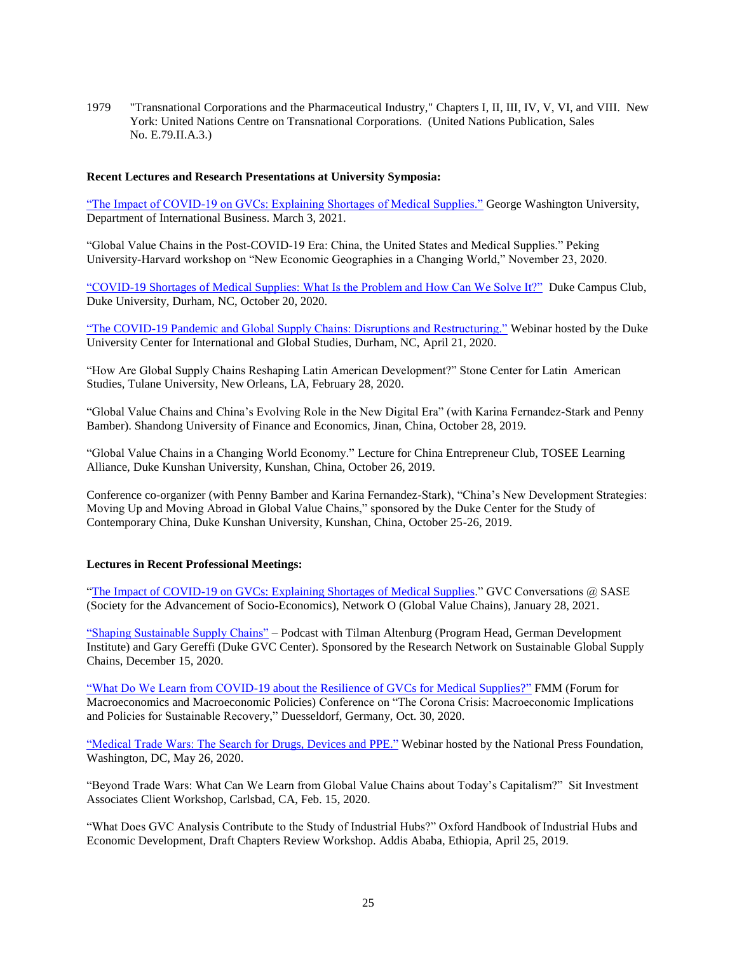1979 "Transnational Corporations and the Pharmaceutical Industry," Chapters I, II, III, IV, V, VI, and VIII. New York: United Nations Centre on Transnational Corporations. (United Nations Publication, Sales No. E.79.II.A.3.)

## **Recent Lectures and Research Presentations at University Symposia:**

["The Impact of COVID-19 on GVCs: Explaining Shortages of Medical Supplies."](https://youtu.be/t8tAYo8lK9Q) George Washington University, Department of International Business. March 3, 2021.

"Global Value Chains in the Post-COVID-19 Era: China, the United States and Medical Supplies." Peking University-Harvard workshop on "New Economic Geographies in a Changing World," November 23, 2020.

["COVID-19 Shortages of Medical Supplies: What Is the Problem and How Can We Solve It?"](https://www.youtube.com/watch?v=0ildfsGz5xc) Duke Campus Club, Duke University, Durham, NC, October 20, 2020.

["The COVID-19 Pandemic and Global Supply Chains: Disruptions and Restructuring."](https://igs.duke.edu/news/covid-19-and-global-supply-chains-disruptions-and-restructuring) Webinar hosted by the Duke University Center for International and Global Studies, Durham, NC, April 21, 2020.

"How Are Global Supply Chains Reshaping Latin American Development?" Stone Center for Latin American Studies, Tulane University, New Orleans, LA, February 28, 2020.

"Global Value Chains and China's Evolving Role in the New Digital Era" (with Karina Fernandez-Stark and Penny Bamber). Shandong University of Finance and Economics, Jinan, China, October 28, 2019.

"Global Value Chains in a Changing World Economy." Lecture for China Entrepreneur Club, TOSEE Learning Alliance, Duke Kunshan University, Kunshan, China, October 26, 2019.

Conference co-organizer (with Penny Bamber and Karina Fernandez-Stark), "China's New Development Strategies: Moving Up and Moving Abroad in Global Value Chains," sponsored by the Duke Center for the Study of Contemporary China, Duke Kunshan University, Kunshan, China, October 25-26, 2019.

## **Lectures in Recent Professional Meetings:**

"The Impact of COVID-19 on GVCs: [Explaining Shortages of Medical Supplies.](https://www.youtube.com/watch?v=mj34MVv61Js&feature=youtu.be)" GVC Conversations @ SASE (Society for the Advancement of Socio-Economics), Network O (Global Value Chains), January 28, 2021.

["Shaping Sustainable Supply Chains"](https://shaping-sustainable-supply-chains.podigee.io/1) – Podcast with Tilman Altenburg (Program Head, German Development Institute) and Gary Gereffi (Duke GVC Center). Sponsored by the Research Network on Sustainable Global Supply Chains, December 15, 2020.

["What Do We Learn from COVID-19 about the Resilience of GVCs for Medical Supplies?"](https://www.boeckler.de/pdf/v_2020_10_30_gereffi.pdf) FMM (Forum for Macroeconomics and Macroeconomic Policies) Conference on "The Corona Crisis: Macroeconomic Implications and Policies for Sustainable Recovery," Duesseldorf, Germany, Oct. 30, 2020.

["Medical Trade Wars: The Search for Drugs, Devices and PPE."](https://nationalpress.org/topic/the-search-for-medical-supplies/?st=14360&t=Trade&mm=Video) Webinar hosted by the National Press Foundation, Washington, DC, May 26, 2020.

"Beyond Trade Wars: What Can We Learn from Global Value Chains about Today's Capitalism?" Sit Investment Associates Client Workshop, Carlsbad, CA, Feb. 15, 2020.

"What Does GVC Analysis Contribute to the Study of Industrial Hubs?" Oxford Handbook of Industrial Hubs and Economic Development, Draft Chapters Review Workshop. Addis Ababa, Ethiopia, April 25, 2019.